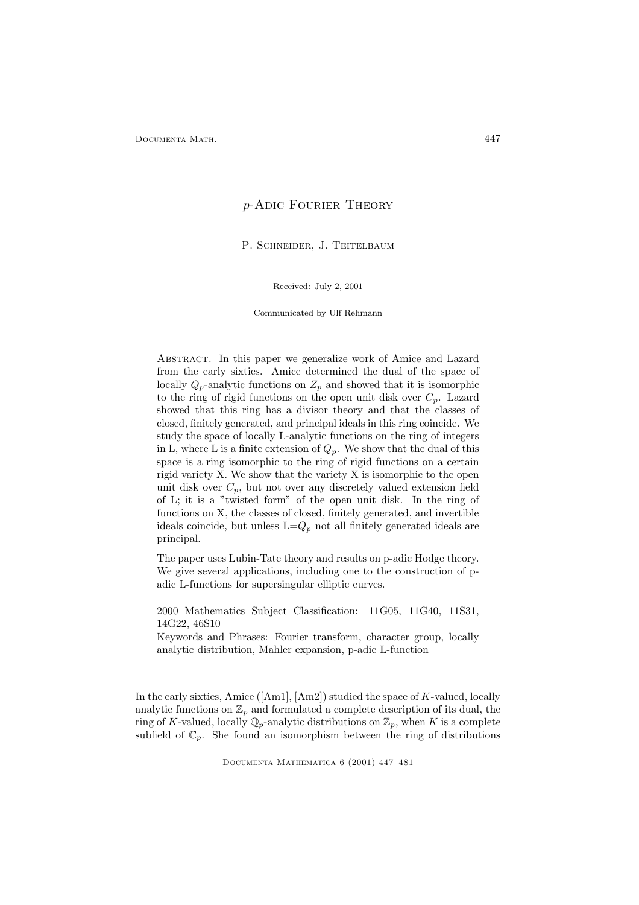## p-Adic Fourier Theory

P. SCHNEIDER, J. TEITELBAUM

Received: July 2, 2001

Communicated by Ulf Rehmann

Abstract. In this paper we generalize work of Amice and Lazard from the early sixties. Amice determined the dual of the space of locally  $Q_p$ -analytic functions on  $Z_p$  and showed that it is isomorphic to the ring of rigid functions on the open unit disk over  $C_p$ . Lazard showed that this ring has a divisor theory and that the classes of closed, finitely generated, and principal ideals in this ring coincide. We study the space of locally L-analytic functions on the ring of integers in L, where L is a finite extension of  $Q_p$ . We show that the dual of this space is a ring isomorphic to the ring of rigid functions on a certain rigid variety X. We show that the variety X is isomorphic to the open unit disk over  $C_p$ , but not over any discretely valued extension field of L; it is a "twisted form" of the open unit disk. In the ring of functions on X, the classes of closed, finitely generated, and invertible ideals coincide, but unless  $L=Q_p$  not all finitely generated ideals are principal.

The paper uses Lubin-Tate theory and results on p-adic Hodge theory. We give several applications, including one to the construction of padic L-functions for supersingular elliptic curves.

2000 Mathematics Subject Classification: 11G05, 11G40, 11S31, 14G22, 46S10

Keywords and Phrases: Fourier transform, character group, locally analytic distribution, Mahler expansion, p-adic L-function

In the early sixties, Amice  $([Am1], [Am2])$  studied the space of  $K$ -valued, locally analytic functions on  $\mathbb{Z}_p$  and formulated a complete description of its dual, the ring of K-valued, locally  $\mathbb{Q}_p$ -analytic distributions on  $\mathbb{Z}_p$ , when K is a complete subfield of  $\mathbb{C}_p$ . She found an isomorphism between the ring of distributions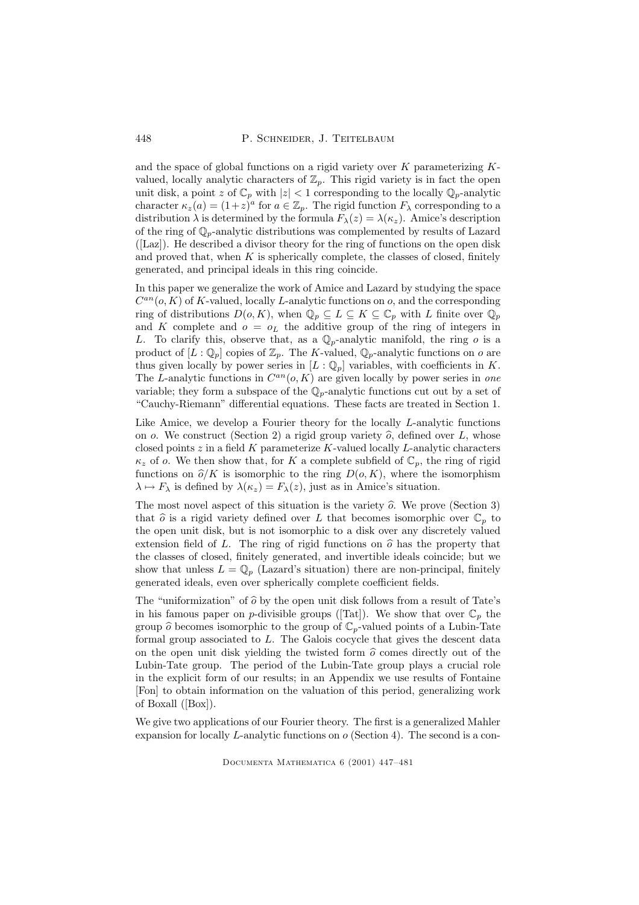and the space of global functions on a rigid variety over  $K$  parameterizing  $K$ valued, locally analytic characters of  $\mathbb{Z}_p$ . This rigid variety is in fact the open unit disk, a point z of  $\mathbb{C}_p$  with  $|z| < 1$  corresponding to the locally  $\mathbb{Q}_p$ -analytic character  $\kappa_z(a) = (1+z)^a$  for  $a \in \mathbb{Z}_p$ . The rigid function  $F_\lambda$  corresponding to a distribution  $\lambda$  is determined by the formula  $F_{\lambda}(z) = \lambda(\kappa_z)$ . Amice's description of the ring of  $\mathbb{Q}_p$ -analytic distributions was complemented by results of Lazard ([Laz]). He described a divisor theory for the ring of functions on the open disk and proved that, when  $K$  is spherically complete, the classes of closed, finitely generated, and principal ideals in this ring coincide.

In this paper we generalize the work of Amice and Lazard by studying the space  $C^{an}(o, K)$  of K-valued, locally L-analytic functions on  $o$ , and the corresponding ring of distributions  $D(o, K)$ , when  $\mathbb{Q}_p \subseteq L \subseteq K \subseteq \mathbb{C}_p$  with L finite over  $\mathbb{Q}_p$ and K complete and  $o = o<sub>L</sub>$  the additive group of the ring of integers in L. To clarify this, observe that, as a  $\mathbb{Q}_p$ -analytic manifold, the ring o is a product of  $[L:\mathbb{Q}_p]$  copies of  $\mathbb{Z}_p$ . The K-valued,  $\mathbb{Q}_p$ -analytic functions on o are thus given locally by power series in  $[L : \mathbb{Q}_p]$  variables, with coefficients in K. The L-analytic functions in  $C^{an}(o, K)$  are given locally by power series in one variable; they form a subspace of the  $\mathbb{Q}_p$ -analytic functions cut out by a set of "Cauchy-Riemann" differential equations. These facts are treated in Section 1.

Like Amice, we develop a Fourier theory for the locally  $L$ -analytic functions on o. We construct (Section 2) a rigid group variety  $\hat{o}$ , defined over L, whose closed points  $z$  in a field K parameterize K-valued locally L-analytic characters  $\kappa_z$  of o. We then show that, for K a complete subfield of  $\mathbb{C}_p$ , the ring of rigid functions on  $\hat{\rho}/K$  is isomorphic to the ring  $D(o, K)$ , where the isomorphism  $\lambda \mapsto F_{\lambda}$  is defined by  $\lambda(\kappa_z) = F_{\lambda}(z)$ , just as in Amice's situation.

The most novel aspect of this situation is the variety  $\hat{o}$ . We prove (Section 3) that  $\hat{o}$  is a rigid variety defined over L that becomes isomorphic over  $\mathbb{C}_p$  to the open unit disk, but is not isomorphic to a disk over any discretely valued extension field of L. The ring of rigid functions on  $\hat{\sigma}$  has the property that the classes of closed, finitely generated, and invertible ideals coincide; but we show that unless  $L = \mathbb{Q}_p$  (Lazard's situation) there are non-principal, finitely generated ideals, even over spherically complete coefficient fields.

The "uniformization" of  $\hat{o}$  by the open unit disk follows from a result of Tate's in his famous paper on p-divisible groups ([Tat]). We show that over  $\mathbb{C}_p$  the group  $\widehat{o}$  becomes isomorphic to the group of  $\mathbb{C}_p$ -valued points of a Lubin-Tate formal group associated to  $L$ . The Galois cocycle that gives the descent data on the open unit disk yielding the twisted form  $\hat{o}$  comes directly out of the Lubin-Tate group. The period of the Lubin-Tate group plays a crucial role in the explicit form of our results; in an Appendix we use results of Fontaine [Fon] to obtain information on the valuation of this period, generalizing work of Boxall ([Box]).

We give two applications of our Fourier theory. The first is a generalized Mahler expansion for locally  $L$ -analytic functions on  $o$  (Section 4). The second is a con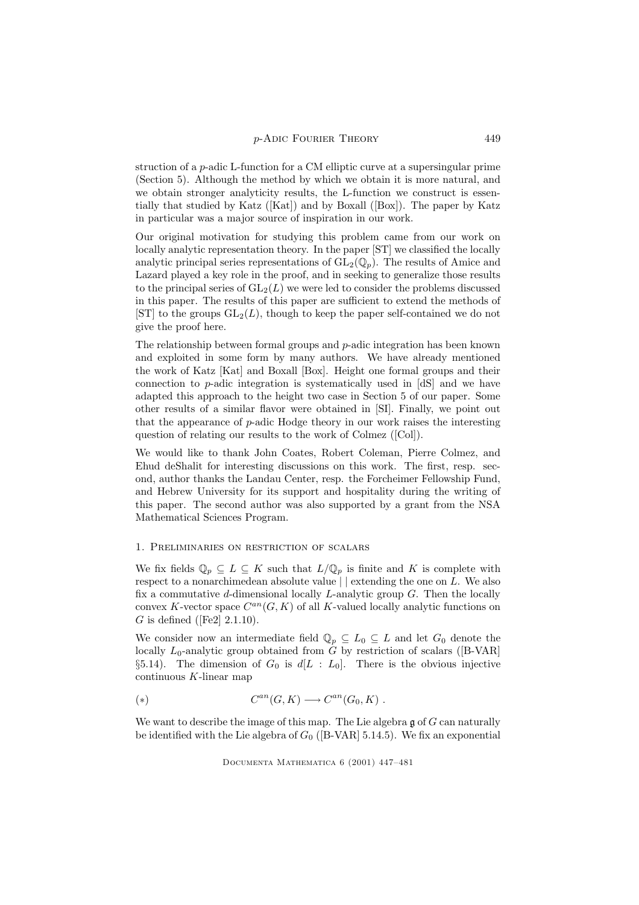struction of a p-adic L-function for a CM elliptic curve at a supersingular prime (Section 5). Although the method by which we obtain it is more natural, and we obtain stronger analyticity results, the L-function we construct is essentially that studied by Katz  $([Kat])$  and by Boxall  $([Box])$ . The paper by Katz in particular was a major source of inspiration in our work.

Our original motivation for studying this problem came from our work on locally analytic representation theory. In the paper [ST] we classified the locally analytic principal series representations of  $GL_2(\mathbb{Q}_p)$ . The results of Amice and Lazard played a key role in the proof, and in seeking to generalize those results to the principal series of  $GL_2(L)$  we were led to consider the problems discussed in this paper. The results of this paper are sufficient to extend the methods of [ST] to the groups  $GL_2(L)$ , though to keep the paper self-contained we do not give the proof here.

The relationship between formal groups and  $p$ -adic integration has been known and exploited in some form by many authors. We have already mentioned the work of Katz [Kat] and Boxall [Box]. Height one formal groups and their connection to  $p$ -adic integration is systematically used in [dS] and we have adapted this approach to the height two case in Section 5 of our paper. Some other results of a similar flavor were obtained in [SI]. Finally, we point out that the appearance of p-adic Hodge theory in our work raises the interesting question of relating our results to the work of Colmez ([Col]).

We would like to thank John Coates, Robert Coleman, Pierre Colmez, and Ehud deShalit for interesting discussions on this work. The first, resp. second, author thanks the Landau Center, resp. the Forcheimer Fellowship Fund, and Hebrew University for its support and hospitality during the writing of this paper. The second author was also supported by a grant from the NSA Mathematical Sciences Program.

## 1. Preliminaries on restriction of scalars

We fix fields  $\mathbb{Q}_p \subseteq L \subseteq K$  such that  $L/\mathbb{Q}_p$  is finite and K is complete with respect to a nonarchimedean absolute value  $\vert \vert$  extending the one on L. We also fix a commutative d-dimensional locally L-analytic group  $G$ . Then the locally convex K-vector space  $C^{an}(G, K)$  of all K-valued locally analytic functions on G is defined ([Fe2]  $2.1.10$ ).

We consider now an intermediate field  $\mathbb{Q}_p \subseteq L_0 \subseteq L$  and let  $G_0$  denote the locally  $L_0$ -analytic group obtained from G by restriction of scalars ([B-VAR] §5.14). The dimension of  $G_0$  is  $d[L : L_0]$ . There is the obvious injective continuous K-linear map

$$
(*)\qquad C^{an}(G,K)\longrightarrow C^{an}(G_0,K)\ .
$$

We want to describe the image of this map. The Lie algebra  $\mathfrak g$  of  $G$  can naturally be identified with the Lie algebra of  $G_0$  ([B-VAR] 5.14.5). We fix an exponential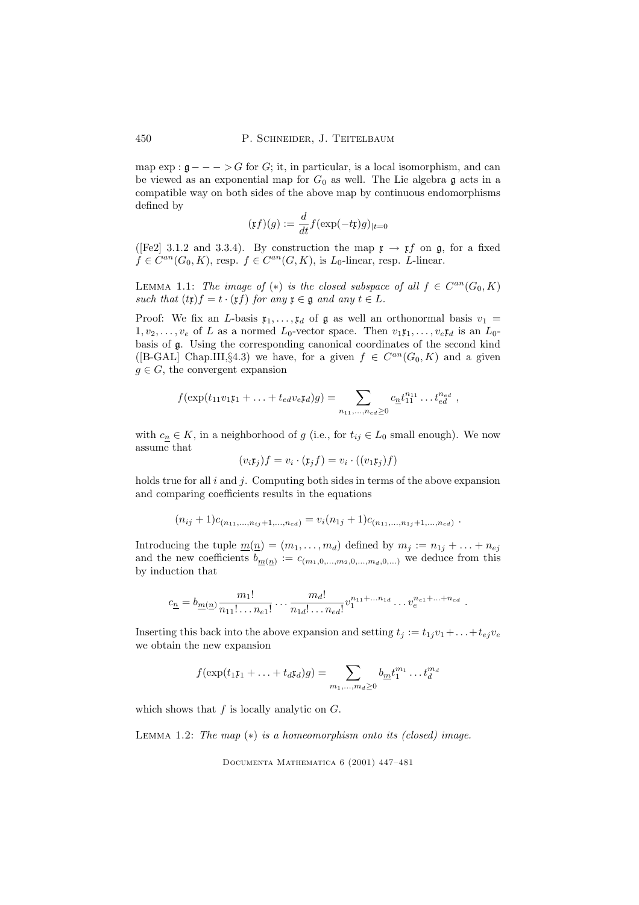map  $\exp : \mathfrak{g} \longrightarrow -\infty$  for G; it, in particular, is a local isomorphism, and can be viewed as an exponential map for  $G_0$  as well. The Lie algebra g acts in a compatible way on both sides of the above map by continuous endomorphisms defined by

$$
(\mathfrak{x}f)(g) := \frac{d}{dt} f(\exp(-t\mathfrak{x})g)_{|t=0}
$$

([Fe2] 3.1.2 and 3.3.4). By construction the map  $\mathfrak{x} \to \mathfrak{x} f$  on  $\mathfrak{g}$ , for a fixed  $f \in C^{an}(G_0, K)$ , resp.  $f \in C^{an}(G, K)$ , is  $L_0$ -linear, resp. L-linear.

LEMMA 1.1: The image of  $(*)$  is the closed subspace of all  $f \in C^{an}(G_0, K)$ such that  $(t\mathfrak{x})f = t \cdot (\mathfrak{x}f)$  for any  $\mathfrak{x} \in \mathfrak{g}$  and any  $t \in L$ .

Proof: We fix an L-basis  $x_1, \ldots, x_d$  of  $\mathfrak g$  as well an orthonormal basis  $v_1 =$  $1, v_2, \ldots, v_e$  of L as a normed  $L_0$ -vector space. Then  $v_1 \mathfrak{x}_1, \ldots, v_e \mathfrak{x}_d$  is an  $L_0$ basis of g. Using the corresponding canonical coordinates of the second kind ([B-GAL] Chap.III,§4.3) we have, for a given  $f \in C^{an}(G_0, K)$  and a given  $g \in G$ , the convergent expansion

$$
f(\exp(t_{11}v_1\mathfrak{x}_1 + \ldots + t_{ed}v_e\mathfrak{x}_d)g) = \sum_{n_{11},\ldots,n_{ed}\geq 0} c_{\underline{n}}t_{11}^{n_{11}}\ldots t_{ed}^{n_{ed}},
$$

with  $c_n \in K$ , in a neighborhood of g (i.e., for  $t_{ij} \in L_0$  small enough). We now assume that

$$
(v_i \mathfrak{x}_j) f = v_i \cdot (\mathfrak{x}_j f) = v_i \cdot ((v_1 \mathfrak{x}_j) f)
$$

holds true for all  $i$  and  $j$ . Computing both sides in terms of the above expansion and comparing coefficients results in the equations

$$
(n_{ij}+1)c_{(n_{11},...,n_{ij}+1,...,n_{ed})}=v_i(n_{1j}+1)c_{(n_{11},...,n_{1j}+1,...,n_{ed})}.
$$

Introducing the tuple  $\underline{m}(\underline{n}) = (m_1, \ldots, m_d)$  defined by  $m_j := n_{1j} + \ldots + n_{ej}$ and the new coefficients  $b_{\underline{m}(n)} := c_{(m_1,0,\ldots,m_2,0,\ldots,m_d,0,\ldots)}$  we deduce from this by induction that

$$
c_{\underline{n}} = b_{\underline{m}(\underline{n})} \frac{m_1!}{n_{11}! \dots n_{e1}!} \dots \frac{m_d!}{n_{1d}! \dots n_{ed}!} v_1^{n_{11}+ \dots n_{1d}} \dots v_e^{n_{e1}+ \dots + n_{ed}}.
$$

Inserting this back into the above expansion and setting  $t_i := t_{1i}v_1 + \ldots + t_{ej}v_e$ we obtain the new expansion

$$
f(\exp(t_1\mathfrak{x}_1 + \ldots + t_d\mathfrak{x}_d)g) = \sum_{m_1,\ldots,m_d \ge 0} b_{\underline{m}} t_1^{m_1} \ldots t_d^{m_d}
$$

which shows that  $f$  is locally analytic on  $G$ .

LEMMA 1.2: The map  $(*)$  is a homeomorphism onto its (closed) image.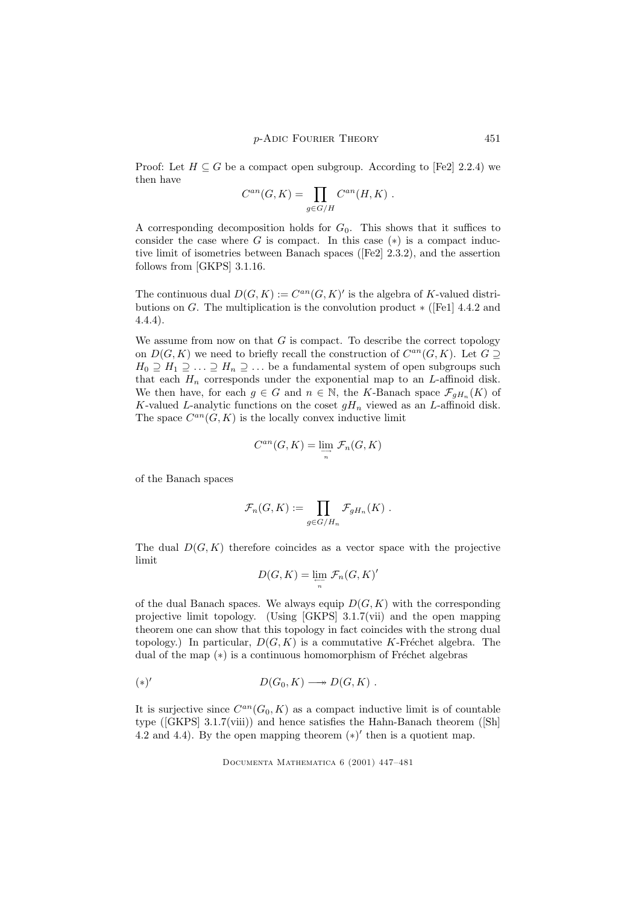Proof: Let  $H \subseteq G$  be a compact open subgroup. According to [Fe2] 2.2.4) we then have

$$
C^{an}(G,K) = \prod_{g \in G/H} C^{an}(H,K) .
$$

A corresponding decomposition holds for  $G_0$ . This shows that it suffices to consider the case where G is compact. In this case  $(*)$  is a compact inductive limit of isometries between Banach spaces ([Fe2] 2.3.2), and the assertion follows from [GKPS] 3.1.16.

The continuous dual  $D(G, K) := C^{an}(G, K)'$  is the algebra of K-valued distributions on G. The multiplication is the convolution product  $\ast$  ([Fe1] 4.4.2 and 4.4.4).

We assume from now on that  $G$  is compact. To describe the correct topology on  $D(G, K)$  we need to briefly recall the construction of  $C^{an}(G, K)$ . Let  $G \supseteq$  $H_0 \supseteq H_1 \supseteq \ldots \supseteq H_n \supseteq \ldots$  be a fundamental system of open subgroups such that each  $H_n$  corresponds under the exponential map to an  $L$ -affinoid disk. We then have, for each  $g \in G$  and  $n \in \mathbb{N}$ , the K-Banach space  $\mathcal{F}_{gH_n}(K)$  of K-valued L-analytic functions on the coset  $gH_n$  viewed as an L-affinoid disk. The space  $C^{an}(G, K)$  is the locally convex inductive limit

$$
C^{an}(G,K) = \varinjlim_{n} \mathcal{F}_n(G,K)
$$

of the Banach spaces

$$
\mathcal{F}_n(G,K) := \prod_{g \in G/H_n} \mathcal{F}_{gH_n}(K) .
$$

The dual  $D(G, K)$  therefore coincides as a vector space with the projective limit

$$
D(G, K) = \lim_{\substack{\longleftarrow \\ n}} \mathcal{F}_n(G, K)'
$$

of the dual Banach spaces. We always equip  $D(G, K)$  with the corresponding projective limit topology. (Using [GKPS] 3.1.7(vii) and the open mapping theorem one can show that this topology in fact coincides with the strong dual topology.) In particular,  $D(G, K)$  is a commutative K-Fréchet algebra. The dual of the map  $(*)$  is a continuous homomorphism of Fréchet algebras

$$
(*)' \qquad D(G_0, K) \longrightarrow D(G, K) .
$$

It is surjective since  $C^{an}(G_0, K)$  as a compact inductive limit is of countable type ([GKPS] 3.1.7(viii)) and hence satisfies the Hahn-Banach theorem ([Sh] 4.2 and 4.4). By the open mapping theorem  $(*)'$  then is a quotient map.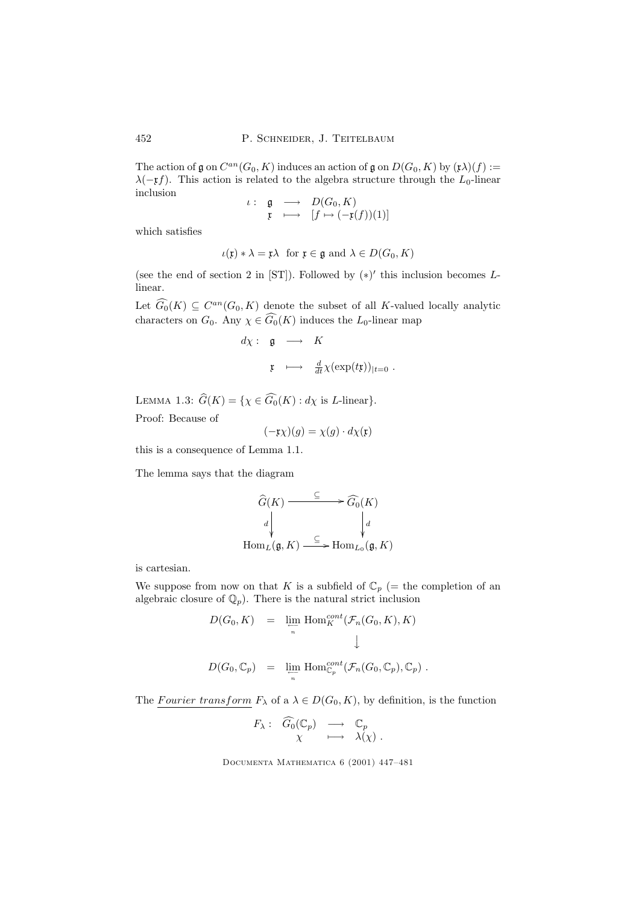The action of  $\mathfrak g$  on  $C^{an}(G_0, K)$  induces an action of  $\mathfrak g$  on  $D(G_0, K)$  by  $(\mathfrak x)(f) :=$  $\lambda(-\mathfrak{x}f)$ . This action is related to the algebra structure through the  $L_0$ -linear inclusion

$$
\begin{array}{rcl} \iota: & \mathfrak{g} & \longrightarrow & D(G_0, K) \\ & \mathfrak{x} & \longmapsto & [f \mapsto (-\mathfrak{x}(f))(1)] \end{array}
$$

which satisfies

$$
\iota(\mathfrak{x}) * \lambda = \mathfrak{x} \lambda \text{ for } \mathfrak{x} \in \mathfrak{g} \text{ and } \lambda \in D(G_0, K)
$$

(see the end of section 2 in [ST]). Followed by  $(*)'$  this inclusion becomes Llinear.

Let  $\widehat{G_0}(K) \subseteq C^{an}(G_0, K)$  denote the subset of all K-valued locally analytic characters on  $G_0$ . Any  $\chi \in \widehat{G_0}(K)$  induces the  $L_0$ -linear map

$$
d\chi: \mathfrak{g} \longrightarrow K
$$
  

$$
\mathfrak{x} \longmapsto \frac{d}{dt}\chi(\exp(t\mathfrak{x}))_{|t=0}.
$$

LEMMA 1.3:  $\widehat{G}(K) = \{ \chi \in \widehat{G}_0(K) : d\chi \text{ is } L\text{-linear} \}.$ 

Proof: Because of

$$
(-\mathfrak{x}\chi)(g) = \chi(g) \cdot d\chi(\mathfrak{x})
$$

this is a consequence of Lemma 1.1.

The lemma says that the diagram

$$
\widehat{G}(K) \xrightarrow{\subseteq} \widehat{G_0}(K)
$$
\n
$$
d \downarrow \qquad \qquad d
$$
\n
$$
\text{Hom}_L(\mathfrak{g}, K) \xrightarrow{\subseteq} \text{Hom}_{L_0}(\mathfrak{g}, K)
$$

is cartesian.

We suppose from now on that K is a subfield of  $\mathbb{C}_p$  (= the completion of an algebraic closure of  $\mathbb{Q}_p$ . There is the natural strict inclusion

$$
D(G_0, K) = \lim_{n \to \infty} \text{Hom}_K^{cont}(\mathcal{F}_n(G_0, K), K)
$$
  

$$
\downarrow
$$
  

$$
D(G_0, \mathbb{C}_p) = \lim_{n \to \infty} \text{Hom}_{\mathbb{C}_p}^{cont}(\mathcal{F}_n(G_0, \mathbb{C}_p), \mathbb{C}_p).
$$

The Fourier transform  $F_{\lambda}$  of a  $\lambda \in D(G_0, K)$ , by definition, is the function

$$
F_{\lambda}: G_0(\mathbb{C}_p) \longrightarrow \mathbb{C}_p
$$

$$
\chi \longmapsto \lambda(\chi).
$$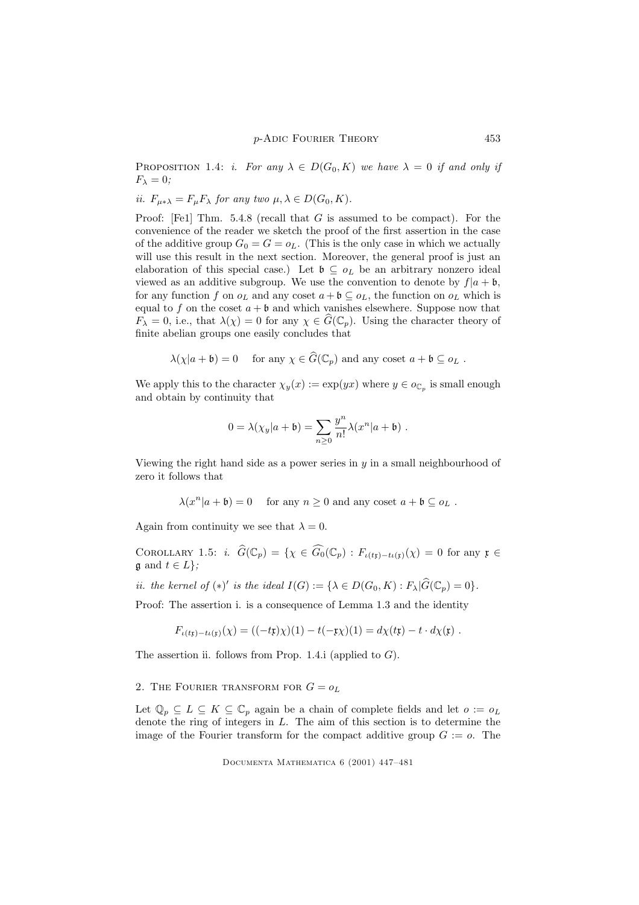PROPOSITION 1.4: *i. For any*  $\lambda \in D(G_0, K)$  we have  $\lambda = 0$  if and only if  $F_{\lambda}=0;$ 

*ii.* 
$$
F_{\mu * \lambda} = F_{\mu} F_{\lambda}
$$
 for any two  $\mu, \lambda \in D(G_0, K)$ .

Proof: [Fe1] Thm. 5.4.8 (recall that G is assumed to be compact). For the convenience of the reader we sketch the proof of the first assertion in the case of the additive group  $G_0 = G = o_L$ . (This is the only case in which we actually will use this result in the next section. Moreover, the general proof is just an elaboration of this special case.) Let  $\mathfrak{b} \subseteq o_L$  be an arbitrary nonzero ideal viewed as an additive subgroup. We use the convention to denote by  $f|a + b$ , for any function f on  $o<sub>L</sub>$  and any coset  $a + b \subseteq o<sub>L</sub>$ , the function on  $o<sub>L</sub>$  which is equal to f on the coset  $a + b$  and which vanishes elsewhere. Suppose now that  $F_{\lambda} = 0$ , i.e., that  $\lambda(\chi) = 0$  for any  $\chi \in \widehat{G}(\mathbb{C}_p)$ . Using the character theory of finite abelian groups one easily concludes that

$$
\lambda(\chi|a+\mathfrak{b})=0 \quad \text{ for any } \chi \in G(\mathbb{C}_p) \text{ and any coset } a+\mathfrak{b} \subseteq o_L.
$$

We apply this to the character  $\chi_y(x) := \exp(yx)$  where  $y \in o_{\mathbb{C}_p}$  is small enough and obtain by continuity that

$$
0 = \lambda(\chi_y|a+b) = \sum_{n\geq 0} \frac{y^n}{n!} \lambda(x^n|a+b) .
$$

Viewing the right hand side as a power series in  $y$  in a small neighbourhood of zero it follows that

$$
\lambda(x^n|a+\mathfrak{b})=0
$$
 for any  $n \ge 0$  and any coset  $a+\mathfrak{b} \subseteq o_L$ .

Again from continuity we see that  $\lambda = 0$ .

COROLLARY 1.5: i.  $\widehat{G}(\mathbb{C}_p) = \{ \chi \in \widehat{G}_0(\mathbb{C}_p) : F_{\iota(t\mathfrak{x})-\iota(\iota\mathfrak{x})}(\chi) = 0 \text{ for any } \mathfrak{x} \in \widehat{G}_p(\mathbb{C}_p) \}$  $\mathfrak{g}$  and  $t \in L$ ;

*ii.* the kernel of  $(*)'$  is the ideal  $I(G) := {\lambda \in D(G_0, K) : F_{\lambda} | \hat{G}(\mathbb{C}_p) = 0}.$ 

Proof: The assertion i. is a consequence of Lemma 1.3 and the identity

$$
F_{\iota(t\mathfrak{x})-t\iota(\mathfrak{x})}(\chi) = ((-t\mathfrak{x})\chi)(1) - t(-\mathfrak{x}\chi)(1) = d\chi(t\mathfrak{x}) - t \cdot d\chi(\mathfrak{x}) .
$$

The assertion ii. follows from Prop. 1.4.i (applied to  $G$ ).

2. THE FOURIER TRANSFORM FOR  $G = o<sub>L</sub>$ 

Let  $\mathbb{Q}_p \subseteq L \subseteq K \subseteq \mathbb{C}_p$  again be a chain of complete fields and let  $o := o_L$ denote the ring of integers in L. The aim of this section is to determine the image of the Fourier transform for the compact additive group  $G := o$ . The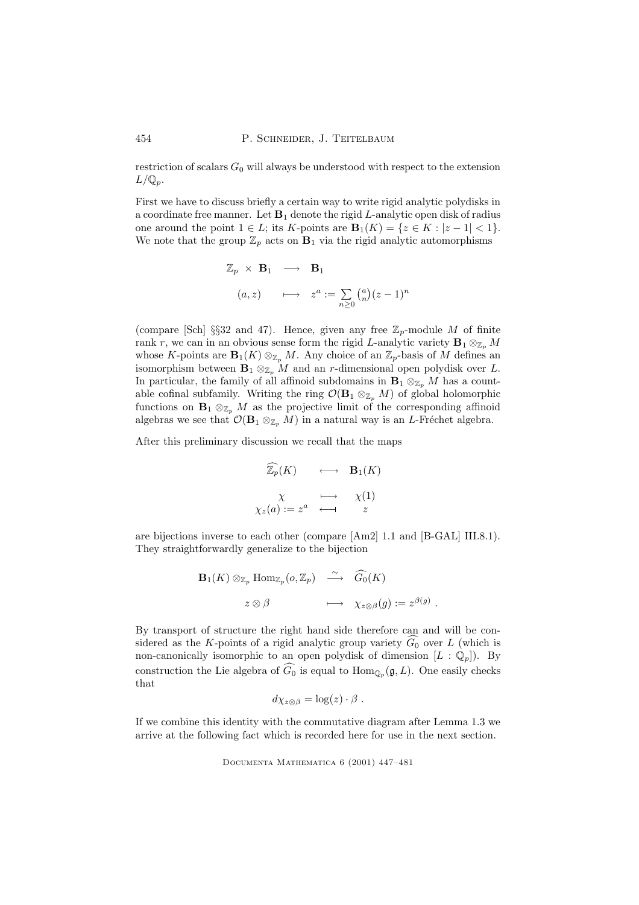restriction of scalars  $G_0$  will always be understood with respect to the extension  $L/\mathbb{Q}_p$ .

First we have to discuss briefly a certain way to write rigid analytic polydisks in a coordinate free manner. Let  $B_1$  denote the rigid L-analytic open disk of radius one around the point  $1 \in L$ ; its K-points are  $\mathbf{B}_1(K) = \{z \in K : |z - 1| < 1\}.$ We note that the group  $\mathbb{Z}_p$  acts on  $\mathbf{B}_1$  via the rigid analytic automorphisms

$$
\mathbb{Z}_p \times \mathbf{B}_1 \longrightarrow \mathbf{B}_1
$$
  
(a, z) 
$$
\longmapsto z^a := \sum_{n\geq 0} {a \choose n} (z-1)^n
$$

(compare [Sch] §§32 and 47). Hence, given any free  $\mathbb{Z}_p$ -module M of finite rank r, we can in an obvious sense form the rigid L-analytic variety  $\mathbf{B}_1 \otimes_{\mathbb{Z}_p} M$ whose K-points are  $\mathbf{B}_1(K) \otimes_{\mathbb{Z}_p} M$ . Any choice of an  $\mathbb{Z}_p$ -basis of M defines an isomorphism between  $\mathbf{B}_1 \otimes_{\mathbb{Z}_p} M$  and an r-dimensional open polydisk over L. In particular, the family of all affinoid subdomains in  $\mathbf{B}_1 \otimes_{\mathbb{Z}_p} M$  has a countable cofinal subfamily. Writing the ring  $\mathcal{O}(\mathbf{B}_1 \otimes_{\mathbb{Z}_n} M)$  of global holomorphic functions on  $\mathbf{B}_1 \otimes_{\mathbb{Z}_p} M$  as the projective limit of the corresponding affinoid algebras we see that  $\mathcal{O}(\mathbf{B}_1 \otimes_{\mathbb{Z}_p} M)$  in a natural way is an L-Fréchet algebra.

After this preliminary discussion we recall that the maps

$$
\widehat{\mathbb{Z}_p}(K) \longleftrightarrow \mathbf{B}_1(K)
$$
  

$$
\chi \longrightarrow \chi(1)
$$
  

$$
\chi_z(a) := z^a \longleftrightarrow z
$$

are bijections inverse to each other (compare [Am2] 1.1 and [B-GAL] III.8.1). They straightforwardly generalize to the bijection

$$
\mathbf{B}_1(K) \otimes_{\mathbb{Z}_p} \text{Hom}_{\mathbb{Z}_p}(o, \mathbb{Z}_p) \xrightarrow{\sim} \widehat{G}_0(K)
$$
  

$$
z \otimes \beta \qquad \qquad \longmapsto \quad \chi_{z \otimes \beta}(g) := z^{\beta(g)}
$$

.

By transport of structure the right hand side therefore can and will be considered as the K-points of a rigid analytic group variety  $\widehat{G_0}$  over L (which is non-canonically isomorphic to an open polydisk of dimension  $[L : \mathbb{Q}_p]$ . By construction the Lie algebra of  $G_0$  is equal to  $\text{Hom}_{\mathbb{Q}_p}(\mathfrak{g}, L)$ . One easily checks that

$$
d\chi_{z\otimes\beta} = \log(z) \cdot \beta.
$$

If we combine this identity with the commutative diagram after Lemma 1.3 we arrive at the following fact which is recorded here for use in the next section.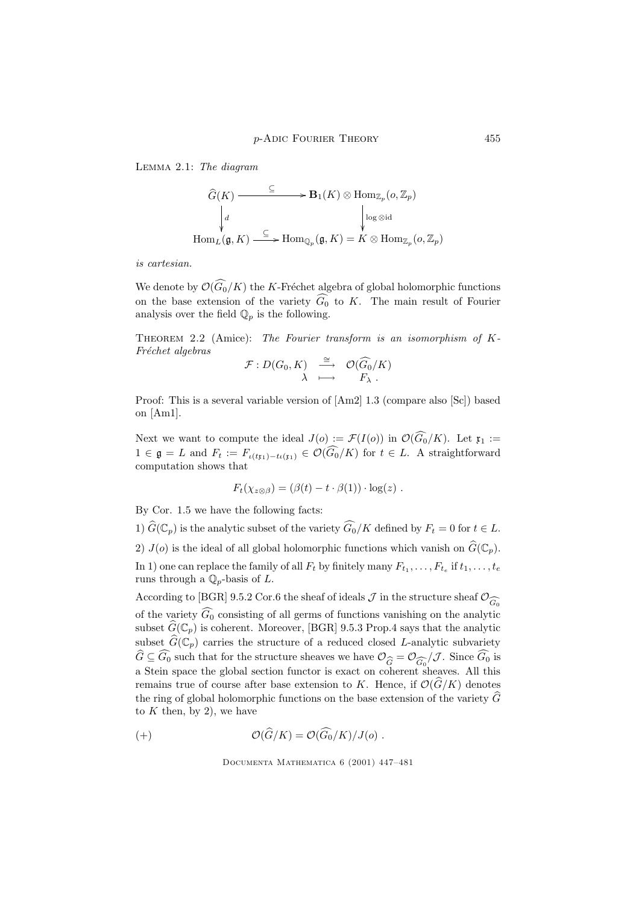Lemma 2.1: The diagram

$$
\widehat{G}(K) \xrightarrow{\subseteq} \mathbf{B}_1(K) \otimes \text{Hom}_{\mathbb{Z}_p}(o, \mathbb{Z}_p)
$$
\n
$$
\downarrow^d \qquad \qquad \downarrow^{\text{log } \otimes \text{id}}
$$
\n
$$
\text{Hom}_L(\mathfrak{g}, K) \xrightarrow{\subseteq} \text{Hom}_{\mathbb{Q}_p}(\mathfrak{g}, K) = K \otimes \text{Hom}_{\mathbb{Z}_p}(o, \mathbb{Z}_p)
$$

is cartesian.

We denote by  $\mathcal{O}(\widehat{G_0}/K)$  the K-Fréchet algebra of global holomorphic functions on the base extension of the variety  $\widehat{G_0}$  to K. The main result of Fourier analysis over the field  $\mathbb{Q}_p$  is the following.

THEOREM 2.2 (Amice): The Fourier transform is an isomorphism of K-Fréchet algebras

$$
\mathcal{F}: D(G_0, K) \xrightarrow[\lambda]{\cong} \mathcal{O}(\widehat{G_0}/K)
$$

$$
\xrightarrow[\lambda]{\sim} \widehat{F_{\lambda}}.
$$

Proof: This is a several variable version of [Am2] 1.3 (compare also [Sc]) based on [Am1].

Next we want to compute the ideal  $J(o) := \mathcal{F}(I(o))$  in  $\mathcal{O}(\widehat{G_0}/K)$ . Let  $\mathfrak{x}_1 :=$  $1 \in \mathfrak{g} = L$  and  $F_t := F_{\iota(t_{k_1}) - t\iota(t_1)} \in \mathcal{O}(\widehat{G_0}/K)$  for  $t \in L$ . A straightforward computation shows that

$$
F_t(\chi_{z\otimes\beta}) = (\beta(t) - t \cdot \beta(1)) \cdot \log(z) .
$$

By Cor. 1.5 we have the following facts:

1)  $\widehat{G}(\mathbb{C}_p)$  is the analytic subset of the variety  $\widehat{G_0}/K$  defined by  $F_t = 0$  for  $t \in L$ . 2)  $J(o)$  is the ideal of all global holomorphic functions which vanish on  $\widehat{G}(\mathbb{C}_p)$ . In 1) one can replace the family of all  $F_t$  by finitely many  $F_{t_1}, \ldots, F_{t_e}$  if  $t_1, \ldots, t_e$ runs through a  $\mathbb{Q}_p$ -basis of L.

According to [BGR] 9.5.2 Cor.6 the sheaf of ideals  $\mathcal J$  in the structure sheaf  $\mathcal O_{\widehat{G}^0}$ of the variety  $\widehat{G_0}$  consisting of all germs of functions vanishing on the analytic subset  $\widehat{G}(\mathbb{C}_p)$  is coherent. Moreover, [BGR] 9.5.3 Prop.4 says that the analytic subset  $\widehat{G}(\mathbb{C}_p)$  carries the structure of a reduced closed L-analytic subvariety  $G \subseteq G_0$  such that for the structure sheaves we have  $\mathcal{O}_{\widehat{G}} = \mathcal{O}_{\widehat{G}_0}/\mathcal{J}$ . Since  $G_0$  is a Stein space the global section functor is exact on coherent sheaves. All this a Stein space the global section functor is exact on coherent sheaves. All this remains true of course after base extension to K. Hence, if  $\mathcal{O}(G/K)$  denotes the ring of global holomorphic functions on the base extension of the variety  $\widehat{G}$ to  $K$  then, by 2), we have

(+) 
$$
\mathcal{O}(\widehat{G}/K) = \mathcal{O}(\widehat{G}_0/K)/J(o) .
$$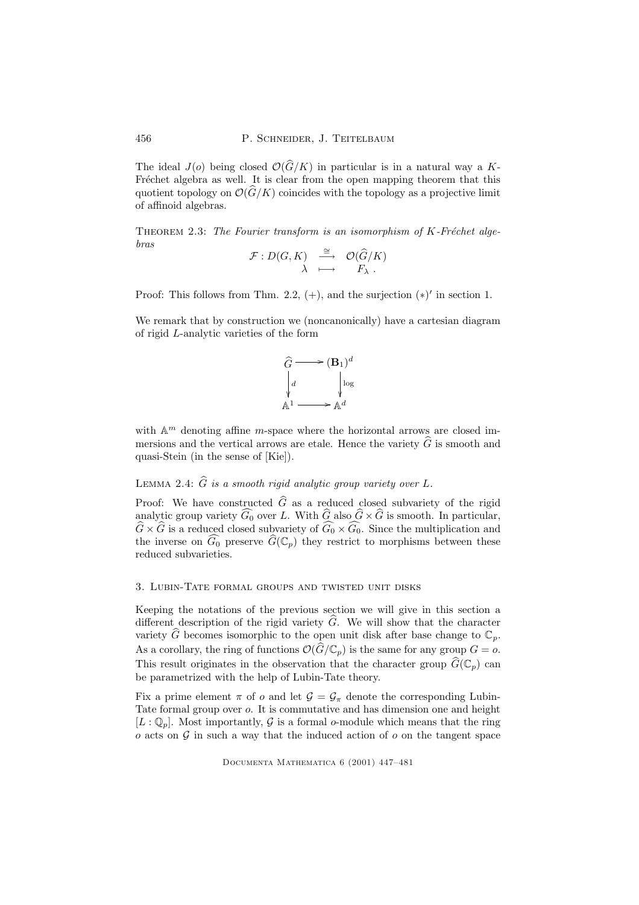The ideal  $J(o)$  being closed  $\mathcal{O}(\widehat{G}/K)$  in particular is in a natural way a K-Fréchet algebra as well. It is clear from the open mapping theorem that this quotient topology on  $\mathcal{O}(\widehat{G}/K)$  coincides with the topology as a projective limit of affinoid algebras.

THEOREM 2.3: The Fourier transform is an isomorphism of  $K$ -Fréchet algebras

$$
\begin{array}{rccc} \mathcal{F}:D(G,K)&\stackrel{\cong}{\longrightarrow}&\mathcal{O}(\widehat{G}/K)\\ \lambda&\longmapsto&F_{\lambda}\ .\end{array}
$$

Proof: This follows from Thm. 2.2,  $(+)$ , and the surjection  $(*)'$  in section 1.

We remark that by construction we (noncanonically) have a cartesian diagram of rigid L-analytic varieties of the form



with  $\mathbb{A}^m$  denoting affine *m*-space where the horizontal arrows are closed immersions and the vertical arrows are etale. Hence the variety  $\tilde{G}$  is smooth and quasi-Stein (in the sense of [Kie]).

# LEMMA 2.4:  $\widehat{G}$  is a smooth rigid analytic group variety over L.

Proof: We have constructed  $\hat{G}$  as a reduced closed subvariety of the rigid analytic group variety  $\widehat{G}_0$  over L. With  $\widehat{G}$  also  $\widehat{G} \times \widehat{G}$  is smooth. In particular,  $\widehat{G} \times \widehat{G}$  is a reduced closed subvariety of  $\widehat{G_0} \times \widehat{G_0}$ . Since the multiplication and the inverse on  $\widehat{G}_0$  preserve  $\widehat{G}(\mathbb{C}_p)$  they restrict to morphisms between these reduced subvarieties.

#### 3. Lubin-Tate formal groups and twisted unit disks

Keeping the notations of the previous section we will give in this section a different description of the rigid variety  $\hat{G}$ . We will show that the character variety  $\hat{G}$  becomes isomorphic to the open unit disk after base change to  $\mathbb{C}_p$ . As a corollary, the ring of functions  $\mathcal{O}(\widehat{G}/\mathbb{C}_p)$  is the same for any group  $G = o$ . This result originates in the observation that the character group  $\widehat{G}(\mathbb{C}_p)$  can be parametrized with the help of Lubin-Tate theory.

Fix a prime element  $\pi$  of  $o$  and let  $\mathcal{G} = \mathcal{G}_{\pi}$  denote the corresponding Lubin-Tate formal group over o. It is commutative and has dimension one and height  $[L: \mathbb{Q}_p]$ . Most importantly, G is a formal o-module which means that the ring  $\sigma$  acts on  $\mathcal G$  in such a way that the induced action of  $\sigma$  on the tangent space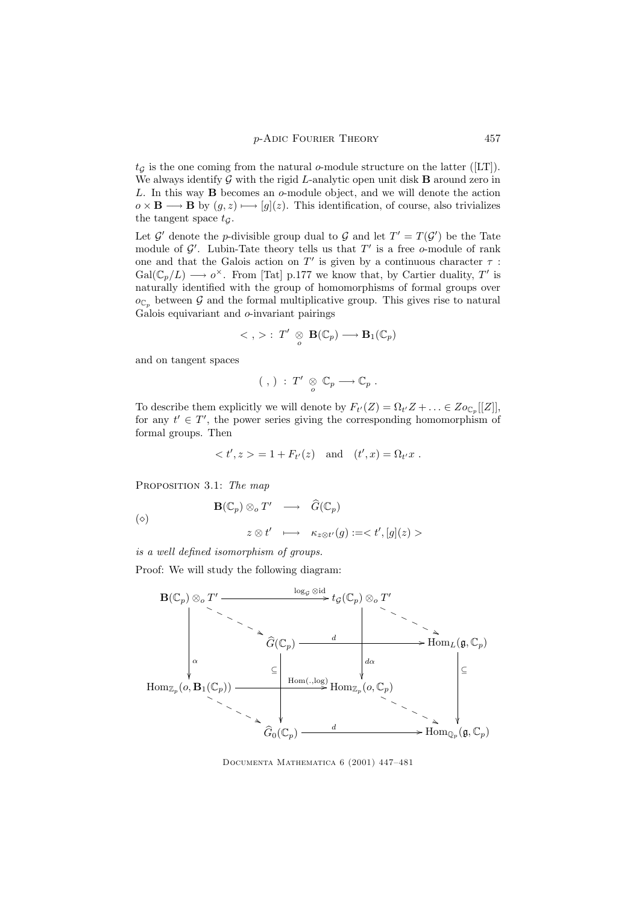$t_{\mathcal{G}}$  is the one coming from the natural o-module structure on the latter ([LT]). We always identify  $G$  with the rigid L-analytic open unit disk **B** around zero in L. In this way B becomes an o-module object, and we will denote the action  $o \times \mathbf{B} \longrightarrow \mathbf{B}$  by  $(g, z) \longmapsto [g](z)$ . This identification, of course, also trivializes the tangent space  $t_G$ .

Let  $\mathcal{G}'$  denote the *p*-divisible group dual to  $\mathcal{G}$  and let  $T' = T(\mathcal{G}')$  be the Tate module of  $\mathcal{G}'$ . Lubin-Tate theory tells us that  $T'$  is a free o-module of rank one and that the Galois action on  $T'$  is given by a continuous character  $\tau$ :  $Gal(\mathbb{C}_p/L) \longrightarrow o^{\times}$ . From [Tat] p.177 we know that, by Cartier duality, T' is naturally identified with the group of homomorphisms of formal groups over  $o_{\mathbb{C}_p}$  between G and the formal multiplicative group. This gives rise to natural Galois equivariant and o-invariant pairings

$$
\langle , \rangle : T' \underset{o}{\otimes} \mathbf{B}(\mathbb{C}_p) \longrightarrow \mathbf{B}_1(\mathbb{C}_p)
$$

and on tangent spaces

$$
(\ ,\,)\;:\;T'\;\underset{o}{\otimes}\;{\mathbb C}_p\longrightarrow{\mathbb C}_p\;.
$$

To describe them explicitly we will denote by  $F_{t'}(Z) = \Omega_{t'}Z + \ldots \in Z_{\mathcal{O}_{\mathbb{C}_p}}[[Z]],$ for any  $t' \in T'$ , the power series giving the corresponding homomorphism of formal groups. Then

$$
= 1 + F_{t'}(z)
$$
 and  $(t', x) = \Omega_{t'}x$ .

PROPOSITION 3.1: The map

$$
\begin{array}{rcl}\n\mathbf{B}(\mathbb{C}_p) \otimes_{o} T' & \longrightarrow & \widehat{G}(\mathbb{C}_p) \\
& z \otimes t' & \longmapsto & \kappa_{z \otimes t'}(g) := < t', [g](z) > \n\end{array}
$$

is a well defined isomorphism of groups.

Proof: We will study the following diagram:



Documenta Mathematica 6 (2001) 447–481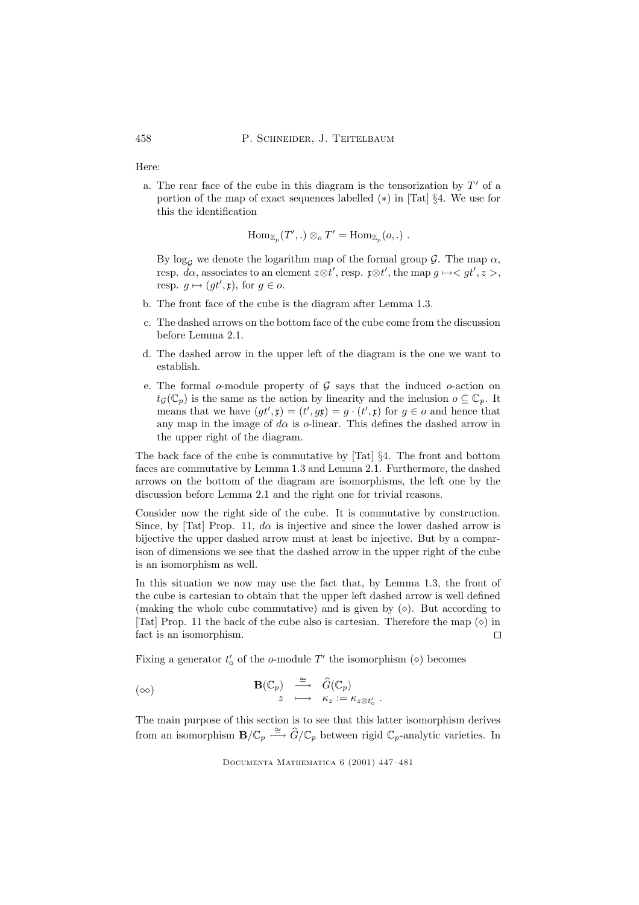458 P. SCHNEIDER, J. TEITELBAUM

Here:

a. The rear face of the cube in this diagram is the tensorization by  $T'$  of a portion of the map of exact sequences labelled (∗) in [Tat] §4. We use for this the identification

$$
\mathrm{Hom}_{\mathbb{Z}_p}(T',.)\otimes_o T'=\mathrm{Hom}_{\mathbb{Z}_p}(o,.)\ .
$$

By  $\log_{\mathcal{G}}$  we denote the logarithm map of the formal group  $\mathcal{G}$ . The map  $\alpha$ , resp.  $d\alpha$ , associates to an element  $z \otimes t'$ , resp.  $\mathfrak{x} \otimes t'$ , the map  $g \mapsto \langle gt', z \rangle$ , resp.  $g \mapsto (gt', \mathfrak{x})$ , for  $g \in o$ .

- b. The front face of the cube is the diagram after Lemma 1.3.
- c. The dashed arrows on the bottom face of the cube come from the discussion before Lemma 2.1.
- d. The dashed arrow in the upper left of the diagram is the one we want to establish.
- e. The formal  $o$ -module property of  $\mathcal G$  says that the induced  $o$ -action on  $t_G(\mathbb{C}_p)$  is the same as the action by linearity and the inclusion  $o \subseteq \mathbb{C}_p$ . It means that we have  $(gt', \mathfrak{x}) = (t', g\mathfrak{x}) = g \cdot (t', \mathfrak{x})$  for  $g \in o$  and hence that any map in the image of  $d\alpha$  is o-linear. This defines the dashed arrow in the upper right of the diagram.

The back face of the cube is commutative by [Tat] §4. The front and bottom faces are commutative by Lemma 1.3 and Lemma 2.1. Furthermore, the dashed arrows on the bottom of the diagram are isomorphisms, the left one by the discussion before Lemma 2.1 and the right one for trivial reasons.

Consider now the right side of the cube. It is commutative by construction. Since, by [Tat] Prop. 11,  $d\alpha$  is injective and since the lower dashed arrow is bijective the upper dashed arrow must at least be injective. But by a comparison of dimensions we see that the dashed arrow in the upper right of the cube is an isomorphism as well.

In this situation we now may use the fact that, by Lemma 1.3, the front of the cube is cartesian to obtain that the upper left dashed arrow is well defined (making the whole cube commutative) and is given by  $(\diamond)$ . But according to [Tat] Prop. 11 the back of the cube also is cartesian. Therefore the map  $(\diamond)$  in fact is an isomorphism.  $\Box$ 

Fixing a generator  $t'_{o}$  of the o-module  $T'$  the isomorphism ( $\diamond$ ) becomes

$$
\begin{array}{rcl}({\diamond} \diamond) & \xrightarrow{\quad \cong \quad} & \widehat{G}(\mathbb{C}_p) \\ & z & \longmapsto & \kappa_z := \kappa_{z \otimes t'_o} \end{array}
$$

The main purpose of this section is to see that this latter isomorphism derives from an isomorphism  $\mathbf{B}/\mathbb{C}_p \stackrel{\cong}{\longrightarrow} \widehat{G}/\mathbb{C}_p$  between rigid  $\mathbb{C}_p$ -analytic varieties. In

.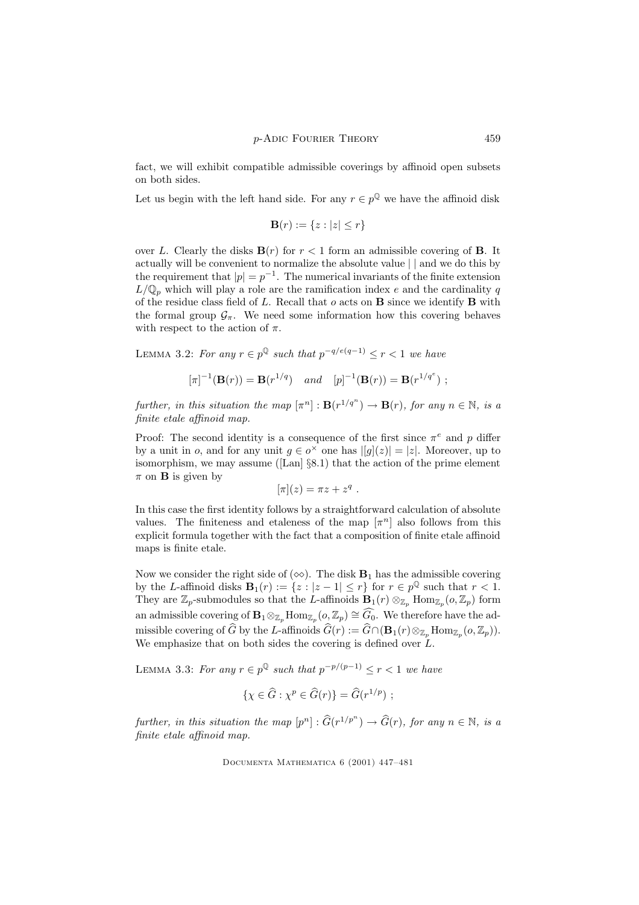fact, we will exhibit compatible admissible coverings by affinoid open subsets on both sides.

Let us begin with the left hand side. For any  $r \in p^{\mathbb{Q}}$  we have the affinoid disk

$$
\mathbf{B}(r) := \{ z : |z| \le r \}
$$

over L. Clearly the disks  $\mathbf{B}(r)$  for  $r < 1$  form an admissible covering of **B**. It actually will be convenient to normalize the absolute value | | and we do this by the requirement that  $|p| = p^{-1}$ . The numerical invariants of the finite extension  $L/\mathbb{Q}_p$  which will play a role are the ramification index e and the cardinality q of the residue class field of  $L$ . Recall that  $o$  acts on  $B$  since we identify  $B$  with the formal group  $\mathcal{G}_{\pi}$ . We need some information how this covering behaves with respect to the action of  $\pi$ .

LEMMA 3.2: For any  $r \in p^{\mathbb{Q}}$  such that  $p^{-q/e(q-1)} \leq r < 1$  we have

$$
[\pi]^{-1}(\mathbf{B}(r)) = \mathbf{B}(r^{1/q}) \quad and \quad [p]^{-1}(\mathbf{B}(r)) = \mathbf{B}(r^{1/q^e}) ;
$$

further, in this situation the map  $[\pi^n]: \mathbf{B}(r^{1/q^n}) \to \mathbf{B}(r)$ , for any  $n \in \mathbb{N}$ , is a finite etale affinoid map.

Proof: The second identity is a consequence of the first since  $\pi^e$  and p differ by a unit in *o*, and for any unit  $g \in o^{\times}$  one has  $|[g](z)| = |z|$ . Moreover, up to isomorphism, we may assume ([Lan] §8.1) that the action of the prime element  $\pi$  on **B** is given by

$$
[\pi](z) = \pi z + z^q.
$$

In this case the first identity follows by a straightforward calculation of absolute values. The finiteness and etaleness of the map  $[\pi^n]$  also follows from this explicit formula together with the fact that a composition of finite etale affinoid maps is finite etale.

Now we consider the right side of  $(\infty)$ . The disk  $B_1$  has the admissible covering by the L-affinoid disks  $\mathbf{B}_1(r) := \{z : |z - 1| \le r\}$  for  $r \in p^{\mathbb{Q}}$  such that  $r < 1$ . They are  $\mathbb{Z}_p$ -submodules so that the L-affinoids  $\mathbf{B}_1(r) \otimes_{\mathbb{Z}_p} \text{Hom}_{\mathbb{Z}_p}(o, \mathbb{Z}_p)$  form an admissible covering of  $\mathbf{B}_1 \otimes_{\mathbb{Z}_p} \text{Hom}_{\mathbb{Z}_p}(o_{\cdot}, \mathbb{Z}_p) \cong \widehat{G}_0$ . We therefore have the admissible covering of  $\widehat{G}$  by the L-affinoids  $\widehat{G}(r) := \widehat{G} \cap (\mathbf{B}_1(r) \otimes_{\mathbb{Z}_p} \text{Hom}_{\mathbb{Z}_p}(o, \mathbb{Z}_p)).$ We emphasize that on both sides the covering is defined over  $\hat{L}$ .

LEMMA 3.3: For any  $r \in p^{\mathbb{Q}}$  such that  $p^{-p/(p-1)} \le r < 1$  we have

$$
\{\chi \in \widehat{G} : \chi^p \in \widehat{G}(r)\} = \widehat{G}(r^{1/p}) ;
$$

further, in this situation the map  $[p^n] : \widehat{G}(r^{1/p^n}) \to \widehat{G}(r)$ , for any  $n \in \mathbb{N}$ , is a finite etale affinoid map.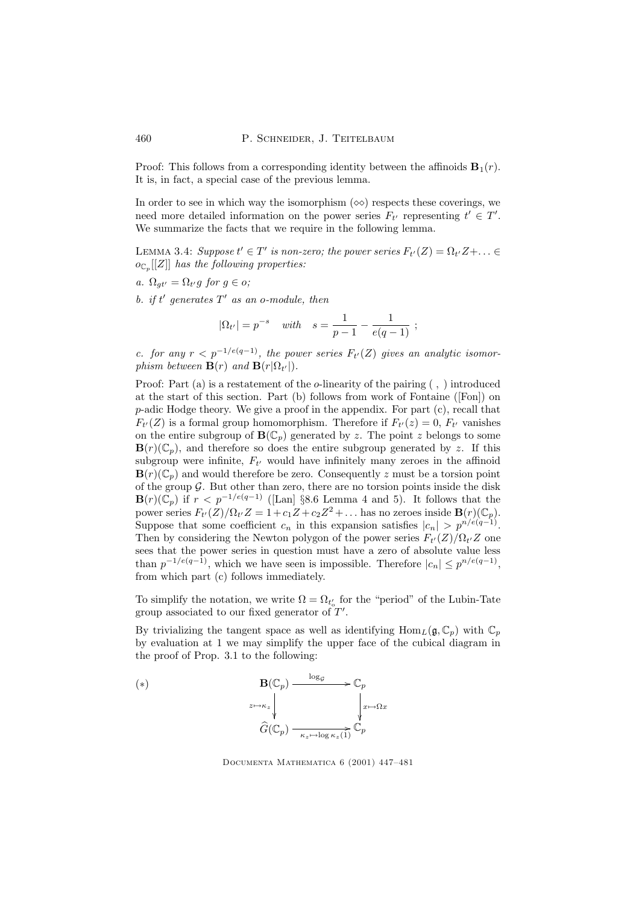Proof: This follows from a corresponding identity between the affinoids  $\mathbf{B}_1(r)$ . It is, in fact, a special case of the previous lemma.

In order to see in which way the isomorphism  $(\infty)$  respects these coverings, we need more detailed information on the power series  $F_{t'}$  representing  $t' \in T'$ . We summarize the facts that we require in the following lemma.

LEMMA 3.4: Suppose  $t' \in T'$  is non-zero; the power series  $F_{t'}(Z) = \Omega_{t'}Z + \ldots \in$  $o_{\mathbb{C}_p}[[Z]]$  has the following properties:

a.  $\Omega_{gt'} = \Omega_{t'} g$  for  $g \in o$ ;

b. if  $t'$  generates  $T'$  as an o-module, then

$$
|\Omega_{t'}| = p^{-s}
$$
 with  $s = \frac{1}{p-1} - \frac{1}{e(q-1)}$ ;

c. for any  $r < p^{-1/e(q-1)}$ , the power series  $F_{t'}(Z)$  gives an analytic isomorphism between  $\mathbf{B}(r)$  and  $\mathbf{B}(r|\Omega_{t'}|)$ .

Proof: Part (a) is a restatement of the *o*-linearity of the pairing  $($ ,  $)$  introduced at the start of this section. Part (b) follows from work of Fontaine ([Fon]) on  $p$ -adic Hodge theory. We give a proof in the appendix. For part  $(c)$ , recall that  $F_{t'}(Z)$  is a formal group homomorphism. Therefore if  $F_{t'}(z) = 0$ ,  $F_{t'}$  vanishes on the entire subgroup of  $\mathbf{B}(\mathbb{C}_p)$  generated by z. The point z belongs to some  $\mathbf{B}(r)(\mathbb{C}_p)$ , and therefore so does the entire subgroup generated by z. If this subgroup were infinite,  $F_{t'}$  would have infinitely many zeroes in the affinoid  $\mathbf{B}(r)(\mathbb{C}_p)$  and would therefore be zero. Consequently z must be a torsion point of the group  $G$ . But other than zero, there are no torsion points inside the disk  $\mathbf{B}(r)(\mathbb{C}_p)$  if  $r < p^{-1/e(q-1)}$  ([Lan] §8.6 Lemma 4 and 5). It follows that the power series  $F_{t'}(Z)/\Omega_{t'}Z = 1 + c_1Z + c_2Z^2 + \dots$  has no zeroes inside  $\mathbf{B}(r)(\mathbb{C}_p)$ . Suppose that some coefficient  $c_n$  in this expansion satisfies  $|c_n| > p^{n/e(q-1)}$ . Then by considering the Newton polygon of the power series  $F_{t'}(Z)/\Omega_{t'}Z$  one sees that the power series in question must have a zero of absolute value less than  $p^{-1/e(q-1)}$ , which we have seen is impossible. Therefore  $|c_n| \leq p^{n/e(q-1)}$ , from which part (c) follows immediately.

To simplify the notation, we write  $\Omega = \Omega_{t_o}$  for the "period" of the Lubin-Tate group associated to our fixed generator of  $T'$ .

By trivializing the tangent space as well as identifying  $\text{Hom}_L(\mathfrak{g}, \mathbb{C}_p)$  with  $\mathbb{C}_p$ by evaluation at 1 we may simplify the upper face of the cubical diagram in the proof of Prop. 3.1 to the following:



Documenta Mathematica 6 (2001) 447–481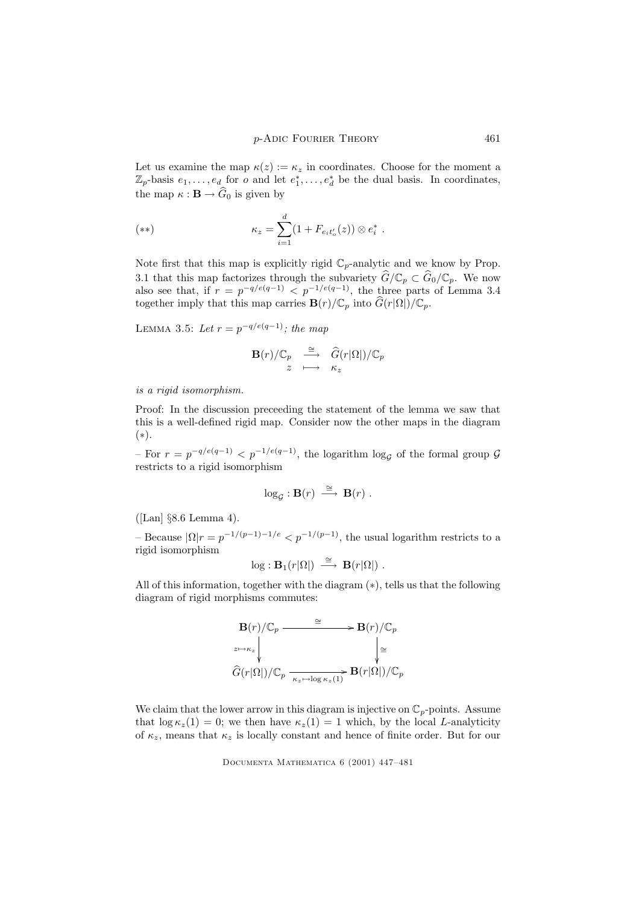Let us examine the map  $\kappa(z) := \kappa_z$  in coordinates. Choose for the moment a  $\mathbb{Z}_p$ -basis  $e_1, \ldots, e_d$  for *o* and let  $e_1^*, \ldots, e_d^*$  be the dual basis. In coordinates, the map  $\kappa : \mathbf{B} \to \widehat{G}_0$  is given by

(\*\*) 
$$
\kappa_z = \sum_{i=1}^d (1 + F_{e_i t'_o}(z)) \otimes e_i^*.
$$

Note first that this map is explicitly rigid  $\mathbb{C}_p$ -analytic and we know by Prop. 3.1 that this map factorizes through the subvariety  $G/\mathbb{C}_p \subset G_0/\mathbb{C}_p$ . We now also see that, if  $r = p^{-q/e(q-1)} < p^{-1/e(q-1)}$ , the three parts of Lemma 3.4 together imply that this map carries  $\mathbf{B}(r)/\mathbb{C}_p$  into  $\widehat{G}(r|\Omega|)/\mathbb{C}_p$ .

LEMMA 3.5: Let  $r = p^{-q/e(q-1)}$ ; the map

$$
\mathbf{B}(r)/\mathbb{C}_p \quad \overset{\cong}{\longrightarrow} \quad \widehat{G}(r|\Omega|)/\mathbb{C}_p \\ z \quad \longmapsto \quad \kappa_z
$$

is a rigid isomorphism.

Proof: In the discussion preceeding the statement of the lemma we saw that this is a well-defined rigid map. Consider now the other maps in the diagram (∗).

 $-$  For  $r = p^{-q/e(q-1)} < p^{-1/e(q-1)}$ , the logarithm log<sub>*G*</sub> of the formal group *G* restricts to a rigid isomorphism

$$
\log_{\mathcal{G}} : \mathbf{B}(r) \stackrel{\cong}{\longrightarrow} \mathbf{B}(r) .
$$

([Lan] §8.6 Lemma 4).

- Because  $|\Omega|r = p^{-1/(p-1)-1/e} < p^{-1/(p-1)}$ , the usual logarithm restricts to a rigid isomorphism

$$
\log : \mathbf{B}_1(r|\Omega|) \stackrel{\cong}{\longrightarrow} \mathbf{B}(r|\Omega|) .
$$

All of this information, together with the diagram (∗), tells us that the following diagram of rigid morphisms commutes:

$$
\mathbf{B}(r)/\mathbb{C}_p \xrightarrow{\cong} \mathbf{B}(r)/\mathbb{C}_p
$$
\n
$$
\downarrow^{\mathbb{Z} \to \kappa_z} \qquad \qquad \downarrow^{\mathbb{Z}} \qquad \downarrow^{\mathbb{Z}}
$$
\n
$$
\widehat{G}(r|\Omega|)/\mathbb{C}_p \xrightarrow[\kappa_z \mapsto \log \kappa_z(1)} \mathbf{B}(r|\Omega|)/\mathbb{C}_p
$$

We claim that the lower arrow in this diagram is injective on  $\mathbb{C}_p$ -points. Assume that  $\log \kappa_z(1) = 0$ ; we then have  $\kappa_z(1) = 1$  which, by the local L-analyticity of  $\kappa_z$ , means that  $\kappa_z$  is locally constant and hence of finite order. But for our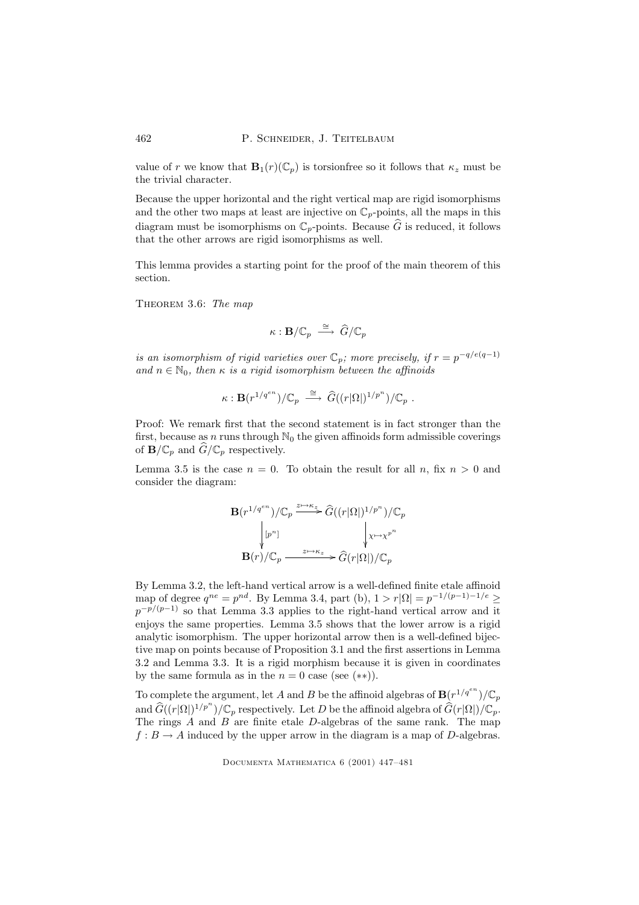value of r we know that  $\mathbf{B}_1(r)(\mathbb{C}_p)$  is torsionfree so it follows that  $\kappa_z$  must be the trivial character.

Because the upper horizontal and the right vertical map are rigid isomorphisms and the other two maps at least are injective on  $\mathbb{C}_p$ -points, all the maps in this diagram must be isomorphisms on  $\mathbb{C}_p$ -points. Because  $\widehat{G}$  is reduced, it follows that the other arrows are rigid isomorphisms as well.

This lemma provides a starting point for the proof of the main theorem of this section.

THEOREM 3.6: The map

$$
\kappa: \mathbf{B}/\mathbb{C}_p \; \stackrel{\cong}{\longrightarrow} \; \widehat{G}/\mathbb{C}_p
$$

is an isomorphism of rigid varieties over  $\mathbb{C}_p$ ; more precisely, if  $r = p^{-q/e(q-1)}$ and  $n \in \mathbb{N}_0$ , then  $\kappa$  is a rigid isomorphism between the affinoids

$$
\kappa: \mathbf{B}(r^{1/q^{en}})/\mathbb{C}_p \stackrel{\cong}{\longrightarrow} \widehat{G}((r|\Omega|)^{1/p^n})/\mathbb{C}_p .
$$

Proof: We remark first that the second statement is in fact stronger than the first, because as  $n$  runs through  $\mathbb{N}_0$  the given affinoids form admissible coverings of  $\mathbf{B}/\mathbb{C}_p$  and  $G/\mathbb{C}_p$  respectively.

Lemma 3.5 is the case  $n = 0$ . To obtain the result for all n, fix  $n > 0$  and consider the diagram:

$$
\mathbf{B}(r^{1/q^{en}})/\mathbb{C}_p \xrightarrow{z \mapsto \kappa_z} \widehat{G}((r|\Omega|)^{1/p^n})/\mathbb{C}_p
$$

$$
\downarrow^{[p^n]} \qquad \qquad \downarrow^{x \mapsto \chi^{p^n}}
$$

$$
\mathbf{B}(r)/\mathbb{C}_p \xrightarrow{z \mapsto \kappa_z} \widehat{G}(r|\Omega|)/\mathbb{C}_p
$$

By Lemma 3.2, the left-hand vertical arrow is a well-defined finite etale affinoid map of degree  $q^{ne} = p^{nd}$ . By Lemma 3.4, part (b),  $1 > r|\Omega| = p^{-1/(p-1)-1/e} \ge$  $p^{-p/(p-1)}$  so that Lemma 3.3 applies to the right-hand vertical arrow and it enjoys the same properties. Lemma 3.5 shows that the lower arrow is a rigid analytic isomorphism. The upper horizontal arrow then is a well-defined bijective map on points because of Proposition 3.1 and the first assertions in Lemma 3.2 and Lemma 3.3. It is a rigid morphism because it is given in coordinates by the same formula as in the  $n = 0$  case (see (\*\*)).

To complete the argument, let A and B be the affinoid algebras of  $\mathbf{B}(r^{1/q^{en}})/\mathbb{C}_p$ and  $\widehat{G}((r|\Omega|)^{1/p^n})/\mathbb{C}_p$  respectively. Let D be the affinoid algebra of  $\widehat{G}(r|\Omega|)/\mathbb{C}_p$ . The rings A and B are finite etale D-algebras of the same rank. The map  $f : B \to A$  induced by the upper arrow in the diagram is a map of D-algebras.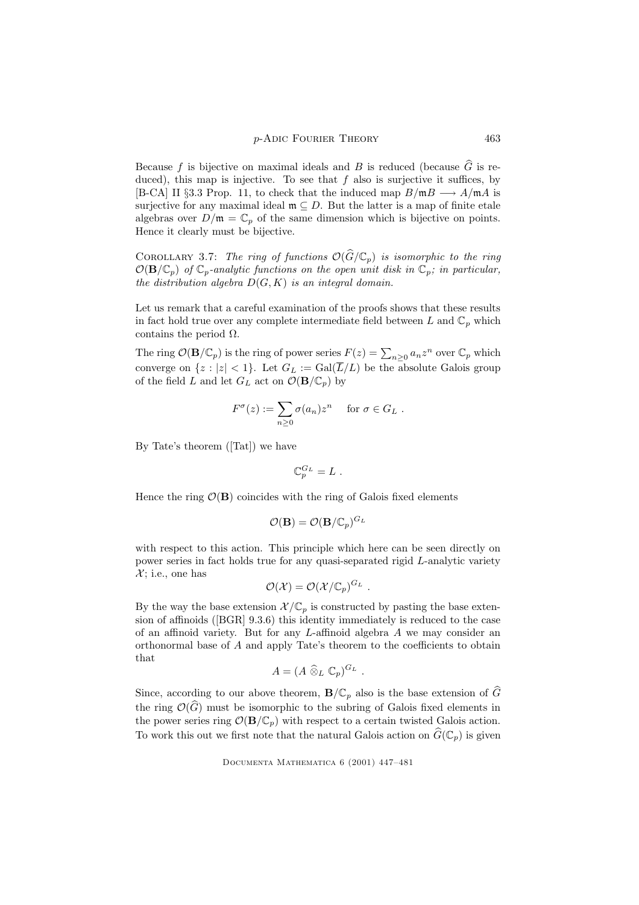Because f is bijective on maximal ideals and B is reduced (because  $\hat{G}$  is reduced), this map is injective. To see that  $f$  also is surjective it suffices, by [B-CA] II §3.3 Prop. 11, to check that the induced map  $B/\mathfrak{m}B \longrightarrow A/\mathfrak{m}A$  is surjective for any maximal ideal  $\mathfrak{m} \subseteq D$ . But the latter is a map of finite etale algebras over  $D/\mathfrak{m} = \mathbb{C}_p$  of the same dimension which is bijective on points. Hence it clearly must be bijective.

COROLLARY 3.7: The ring of functions  $\mathcal{O}(\widehat{G}/\mathbb{C}_p)$  is isomorphic to the ring  $\mathcal{O}(\mathbf{B}/\mathbb{C}_p)$  of  $\mathbb{C}_p$ -analytic functions on the open unit disk in  $\mathbb{C}_p$ ; in particular, the distribution algebra  $D(G, K)$  is an integral domain.

Let us remark that a careful examination of the proofs shows that these results in fact hold true over any complete intermediate field between L and  $\mathbb{C}_p$  which contains the period  $\Omega$ .

The ring  $\mathcal{O}(\mathbf{B}/\mathbb{C}_p)$  is the ring of power series  $F(z) = \sum_{n\geq 0} a_n z^n$  over  $\mathbb{C}_p$  which converge on  $\{z : |z| < 1\}$ . Let  $G_L := \text{Gal}(\overline{L}/L)$  be the absolute Galois group of the field L and let  $G_L$  act on  $\mathcal{O}(\mathbf{B}/\mathbb{C}_p)$  by

$$
F^{\sigma}(z) := \sum_{n \geq 0} \sigma(a_n) z^n \quad \text{ for } \sigma \in G_L .
$$

By Tate's theorem ([Tat]) we have

$$
\mathbb{C}_p^{G_L} = L \; .
$$

Hence the ring  $\mathcal{O}(\mathbf{B})$  coincides with the ring of Galois fixed elements

$$
\mathcal{O}(\mathbf{B}) = \mathcal{O}(\mathbf{B}/\mathbb{C}_p)^{G_L}
$$

with respect to this action. This principle which here can be seen directly on power series in fact holds true for any quasi-separated rigid L-analytic variety  $\mathcal{X}$ ; i.e., one has

$$
\mathcal{O}(\mathcal{X})=\mathcal{O}(\mathcal{X}/\mathbb{C}_p)^{G_L}.
$$

By the way the base extension  $\mathcal{X}/\mathbb{C}_p$  is constructed by pasting the base extension of affinoids ([BGR] 9.3.6) this identity immediately is reduced to the case of an affinoid variety. But for any L-affinoid algebra A we may consider an orthonormal base of A and apply Tate's theorem to the coefficients to obtain that

$$
A=(A\mathbin{\widehat{\otimes}}_L\mathbb{C}_p)^{G_L}.
$$

Since, according to our above theorem,  $\mathbf{B}/\mathbb{C}_p$  also is the base extension of  $\widehat{G}$ the ring  $\mathcal{O}(\widehat{G})$  must be isomorphic to the subring of Galois fixed elements in the power series ring  $\mathcal{O}(\mathbf{B}/\mathbb{C}_p)$  with respect to a certain twisted Galois action. To work this out we first note that the natural Galois action on  $\widehat{G}(\mathbb{C}_p)$  is given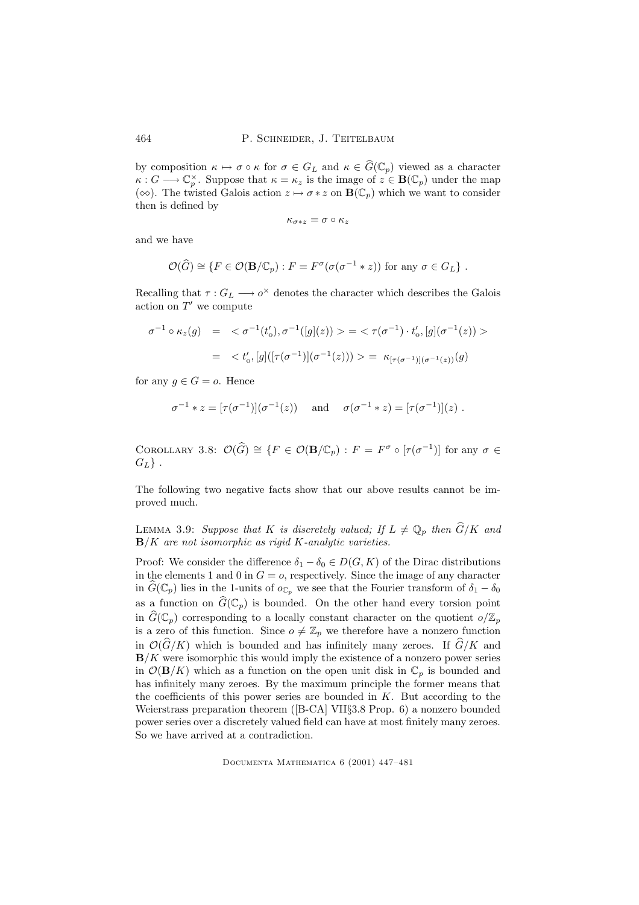by composition  $\kappa \mapsto \sigma \circ \kappa$  for  $\sigma \in G_L$  and  $\kappa \in \widehat{G}(\mathbb{C}_p)$  viewed as a character  $\kappa: G \longrightarrow \mathbb{C}_p^{\times}$ . Suppose that  $\kappa = \kappa_z$  is the image of  $z \in \mathbf{B}(\mathbb{C}_p)$  under the map ( $\infty$ ). The twisted Galois action  $z \mapsto \sigma * z$  on  $\mathbf{B}(\mathbb{C}_p)$  which we want to consider then is defined by

$$
\kappa_{\sigma * z} = \sigma \circ \kappa_z
$$

and we have

$$
\mathcal{O}(\widehat{G}) \cong \{ F \in \mathcal{O}(\mathbf{B}/\mathbb{C}_p) : F = F^{\sigma}(\sigma(\sigma^{-1} * z)) \text{ for any } \sigma \in G_L \} .
$$

Recalling that  $\tau: G_L \longrightarrow o^{\times}$  denotes the character which describes the Galois action on  $T'$  we compute

$$
\sigma^{-1} \circ \kappa_z(g) = \langle \sigma^{-1}(t'_0), \sigma^{-1}([g](z)) \rangle = \langle \tau(\sigma^{-1}) \cdot t'_0, [g](\sigma^{-1}(z)) \rangle
$$
  

$$
= \langle t'_0, [g]([\tau(\sigma^{-1})](\sigma^{-1}(z))) \rangle = \kappa_{[\tau(\sigma^{-1})](\sigma^{-1}(z))}(g)
$$

for any  $g \in G = o$ . Hence

$$
\sigma^{-1} * z = [\tau(\sigma^{-1})](\sigma^{-1}(z))
$$
 and  $\sigma(\sigma^{-1} * z) = [\tau(\sigma^{-1})](z)$ .

COROLLARY 3.8:  $\mathcal{O}(\widehat{G}) \cong \{F \in \mathcal{O}(\mathbf{B}/\mathbb{C}_p) : F = F^{\sigma} \circ [\tau(\sigma^{-1})] \text{ for any } \sigma \in$  $G_L$ .

The following two negative facts show that our above results cannot be improved much.

LEMMA 3.9: Suppose that K is discretely valued; If  $L \neq \mathbb{Q}_p$  then  $\widehat{G}/K$  and  $\mathbf{B}/K$  are not isomorphic as rigid K-analytic varieties.

Proof: We consider the difference  $\delta_1 - \delta_0 \in D(G, K)$  of the Dirac distributions in the elements 1 and 0 in  $G = o$ , respectively. Since the image of any character in  $G(\mathbb{C}_p)$  lies in the 1-units of  $o_{\mathbb{C}_p}$  we see that the Fourier transform of  $\delta_1 - \delta_0$ as a function on  $G(\mathbb{C}_p)$  is bounded. On the other hand every torsion point in  $\widehat{G}(\mathbb{C}_p)$  corresponding to a locally constant character on the quotient  $o/\mathbb{Z}_p$ is a zero of this function. Since  $o \neq \mathbb{Z}_p$  we therefore have a nonzero function in  $\mathcal{O}(\widehat{G}/K)$  which is bounded and has infinitely many zeroes. If  $\widehat{G}/K$  and  $\mathbf{B}/K$  were isomorphic this would imply the existence of a nonzero power series in  $\mathcal{O}(\mathbf{B}/K)$  which as a function on the open unit disk in  $\mathbb{C}_p$  is bounded and has infinitely many zeroes. By the maximum principle the former means that the coefficients of this power series are bounded in  $K$ . But according to the Weierstrass preparation theorem ([B-CA] VII§3.8 Prop. 6) a nonzero bounded power series over a discretely valued field can have at most finitely many zeroes. So we have arrived at a contradiction.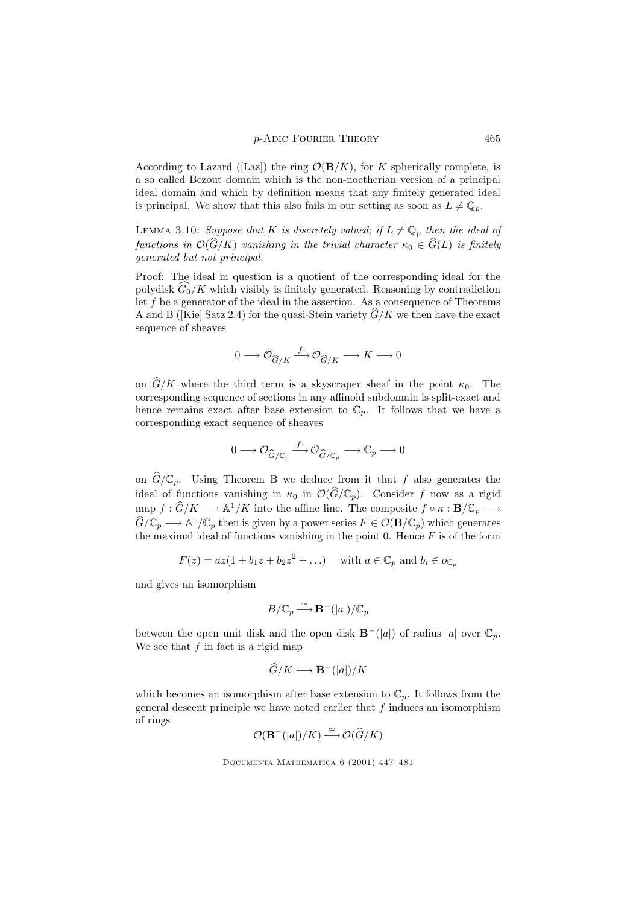According to Lazard ([Laz]) the ring  $\mathcal{O}(\mathbf{B}/K)$ , for K spherically complete, is a so called Bezout domain which is the non-noetherian version of a principal ideal domain and which by definition means that any finitely generated ideal is principal. We show that this also fails in our setting as soon as  $L \neq \mathbb{Q}_p$ .

LEMMA 3.10: Suppose that K is discretely valued; if  $L \neq \mathbb{Q}_p$  then the ideal of functions in  $\mathcal{O}(\widehat{G}/K)$  vanishing in the trivial character  $\kappa_0 \in \widehat{G}(L)$  is finitely generated but not principal.

Proof: The ideal in question is a quotient of the corresponding ideal for the polydisk  $\widehat{G_0}/K$  which visibly is finitely generated. Reasoning by contradiction let  $f$  be a generator of the ideal in the assertion. As a consequence of Theorems A and B ([Kie] Satz 2.4) for the quasi-Stein variety  $\widehat{G}/K$  we then have the exact sequence of sheaves

$$
0 \longrightarrow \mathcal{O}_{\widehat{G}/K} \xrightarrow{f^{\ast}} \mathcal{O}_{\widehat{G}/K} \longrightarrow K \longrightarrow 0
$$

on  $\hat{G}/K$  where the third term is a skyscraper sheaf in the point  $\kappa_0$ . The corresponding sequence of sections in any affinoid subdomain is split-exact and hence remains exact after base extension to  $\mathbb{C}_p$ . It follows that we have a corresponding exact sequence of sheaves

$$
0 \longrightarrow \mathcal{O}_{\widehat{G}/\mathbb{C}_p} \xrightarrow{f^{\ast}} \mathcal{O}_{\widehat{G}/\mathbb{C}_p} \longrightarrow \mathbb{C}_p \longrightarrow 0
$$

on  $\widehat{G}/\mathbb{C}_p$ . Using Theorem B we deduce from it that f also generates the ideal of functions vanishing in  $\kappa_0$  in  $\mathcal{O}(\widehat{G}/\mathbb{C}_p)$ . Consider f now as a rigid  $\text{map } f: \widehat{G}/K \longrightarrow \mathbb{A}^1/K$  into the affine line. The composite  $f \circ \kappa: \mathbf{B}/\mathbb{C}_p \longrightarrow$  $\widehat{G}/\mathbb{C}_p \longrightarrow \mathbb{A}^1/\mathbb{C}_p$  then is given by a power series  $F \in \mathcal{O}(\mathbf{B}/\mathbb{C}_p)$  which generates the maximal ideal of functions vanishing in the point 0. Hence  $F$  is of the form

$$
F(z) = az(1 + b_1 z + b_2 z^2 + \dots)
$$
 with  $a \in \mathbb{C}_p$  and  $b_i \in o_{\mathbb{C}_p}$ 

and gives an isomorphism

$$
B/\mathbb{C}_p \xrightarrow{\simeq} \mathbf{B}^-(|a|)/\mathbb{C}_p
$$

between the open unit disk and the open disk  $\mathbf{B}^{-}(|a|)$  of radius |a| over  $\mathbb{C}_n$ . We see that  $f$  in fact is a rigid map

$$
\widehat{G}/K \longrightarrow \mathbf{B}^{-}(|a|)/K
$$

which becomes an isomorphism after base extension to  $\mathbb{C}_p$ . It follows from the general descent principle we have noted earlier that  $f$  induces an isomorphism of rings

$$
\mathcal{O}(\mathbf{B}^-(|a|)/K) \stackrel{\cong}{\longrightarrow} \mathcal{O}(\widehat{G}/K)
$$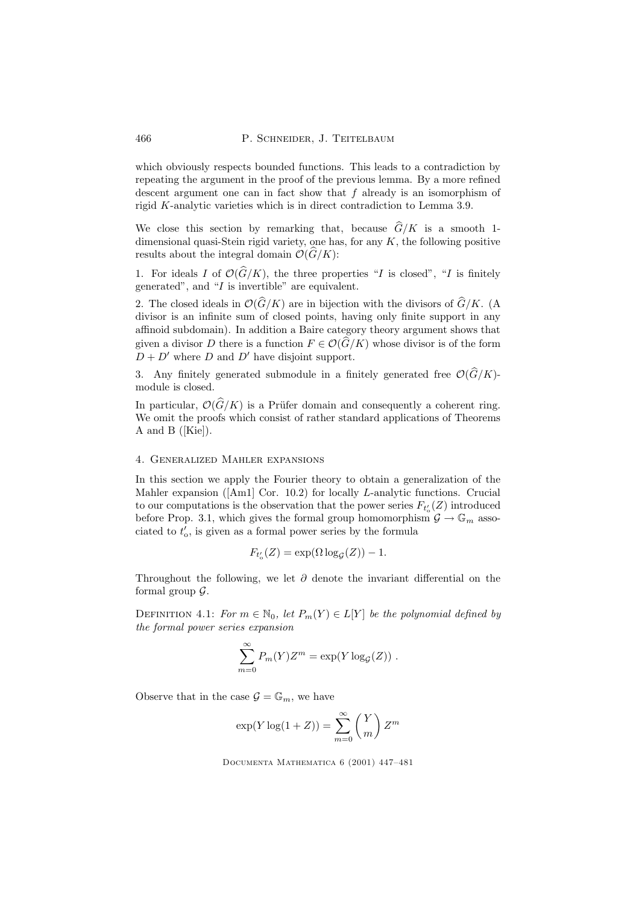which obviously respects bounded functions. This leads to a contradiction by repeating the argument in the proof of the previous lemma. By a more refined descent argument one can in fact show that f already is an isomorphism of rigid K-analytic varieties which is in direct contradiction to Lemma 3.9.

We close this section by remarking that, because  $\widehat{G}/K$  is a smooth 1dimensional quasi-Stein rigid variety, one has, for any  $K$ , the following positive results about the integral domain  $\mathcal{O}(\widehat{G}/K)$ :

1. For ideals I of  $\mathcal{O}(\widehat{G}/K)$ , the three properties "I is closed", "I is finitely generated", and "I is invertible" are equivalent.

2. The closed ideals in  $\mathcal{O}(\widehat{G}/K)$  are in bijection with the divisors of  $\widehat{G}/K$ . (A divisor is an infinite sum of closed points, having only finite support in any affinoid subdomain). In addition a Baire category theory argument shows that given a divisor D there is a function  $F \in \mathcal{O}(\widehat{G}/K)$  whose divisor is of the form  $D + D'$  where D and D' have disjoint support.

3. Any finitely generated submodule in a finitely generated free  $\mathcal{O}(\widehat{G}/K)$ module is closed.

In particular,  $\mathcal{O}(\widehat{G}/K)$  is a Prüfer domain and consequently a coherent ring. We omit the proofs which consist of rather standard applications of Theorems A and B ([Kie]).

## 4. Generalized Mahler expansions

In this section we apply the Fourier theory to obtain a generalization of the Mahler expansion ([Am1] Cor. 10.2) for locally L-analytic functions. Crucial to our computations is the observation that the power series  $F_{t'_{o}}(Z)$  introduced before Prop. 3.1, which gives the formal group homomorphism  $\mathcal{G} \to \mathbb{G}_m$  associated to  $t'_0$ , is given as a formal power series by the formula

$$
F_{t'_o}(Z) = \exp(\Omega \log_{\mathcal{G}}(Z)) - 1.
$$

Throughout the following, we let  $\partial$  denote the invariant differential on the formal group  $\mathcal{G}$ .

DEFINITION 4.1: For  $m \in \mathbb{N}_0$ , let  $P_m(Y) \in L[Y]$  be the polynomial defined by the formal power series expansion

$$
\sum_{m=0}^{\infty} P_m(Y) Z^m = \exp(Y \log_G(Z)).
$$

Observe that in the case  $\mathcal{G} = \mathbb{G}_m$ , we have

$$
\exp(Y \log(1+Z)) = \sum_{m=0}^{\infty} {Y \choose m} Z^m
$$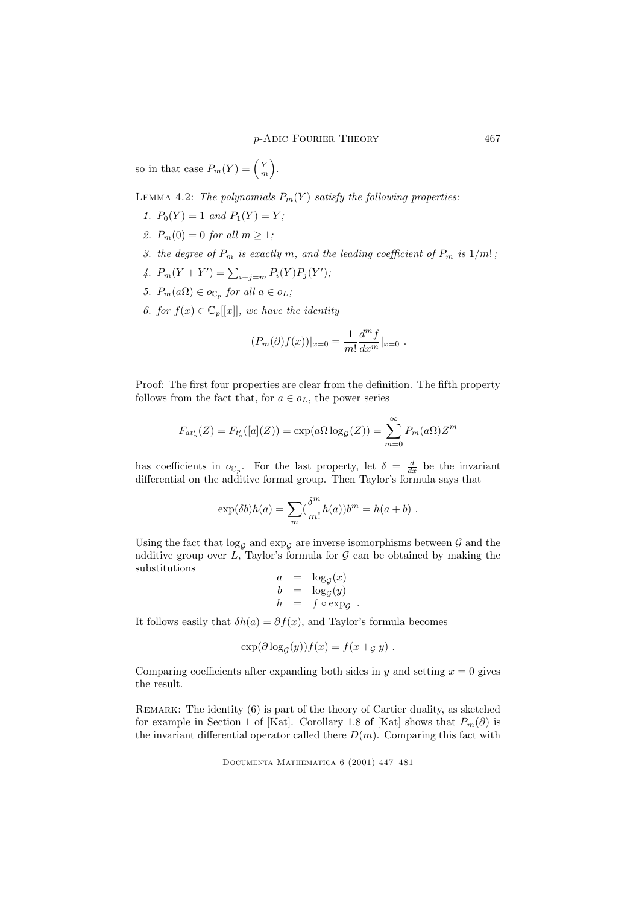so in that case  $P_m(Y) = \begin{pmatrix} Y \\ m \end{pmatrix}$ ´ .

LEMMA 4.2: The polynomials  $P_m(Y)$  satisfy the following properties:

- 1.  $P_0(Y) = 1$  and  $P_1(Y) = Y$ ;
- 2.  $P_m(0) = 0$  for all  $m \ge 1$ ;
- 3. the degree of  $P_m$  is exactly m, and the leading coefficient of  $P_m$  is  $1/m!$ ;
- 4.  $P_m(Y + Y') = \sum_{i+j=m} P_i(Y) P_j(Y')$ ;
- 5.  $P_m(a\Omega) \in o_{\mathbb{C}_p}$  for all  $a \in o_L$ ;
- 6. for  $f(x) \in \mathbb{C}_p[[x]]$ , we have the identity

$$
(P_m(\partial)f(x))|_{x=0} = \frac{1}{m!} \frac{d^m f}{dx^m}|_{x=0} .
$$

Proof: The first four properties are clear from the definition. The fifth property follows from the fact that, for  $a \in o<sub>L</sub>$ , the power series

$$
F_{at'_o}(Z) = F_{t'_o}([a](Z)) = \exp(a\Omega \log_G(Z)) = \sum_{m=0}^{\infty} P_m(a\Omega) Z^m
$$

has coefficients in  $o_{\mathbb{C}_p}$ . For the last property, let  $\delta = \frac{d}{dx}$  be the invariant differential on the additive formal group. Then Taylor's formula says that

$$
\exp(\delta b)h(a) = \sum_{m} \left(\frac{\delta^{m}}{m!}h(a)\right)b^{m} = h(a+b) .
$$

Using the fact that  $\log_{\mathcal{G}}$  and  $\exp_{\mathcal{G}}$  are inverse isomorphisms between  $\mathcal G$  and the additive group over  $L$ , Taylor's formula for  $\mathcal G$  can be obtained by making the substitutions

$$
\begin{array}{rcl}\na &=& \log_{\mathcal{G}}(x) \\
b &=& \log_{\mathcal{G}}(y) \\
h &=& f \circ \exp_{\mathcal{G}}\n\end{array}
$$

.

It follows easily that  $\delta h(a) = \partial f(x)$ , and Taylor's formula becomes

$$
\exp(\partial \log_G(y))f(x) = f(x +_{\mathcal{G}} y) .
$$

Comparing coefficients after expanding both sides in y and setting  $x = 0$  gives the result.

REMARK: The identity (6) is part of the theory of Cartier duality, as sketched for example in Section 1 of [Kat]. Corollary 1.8 of [Kat] shows that  $P_m(\partial)$  is the invariant differential operator called there  $D(m)$ . Comparing this fact with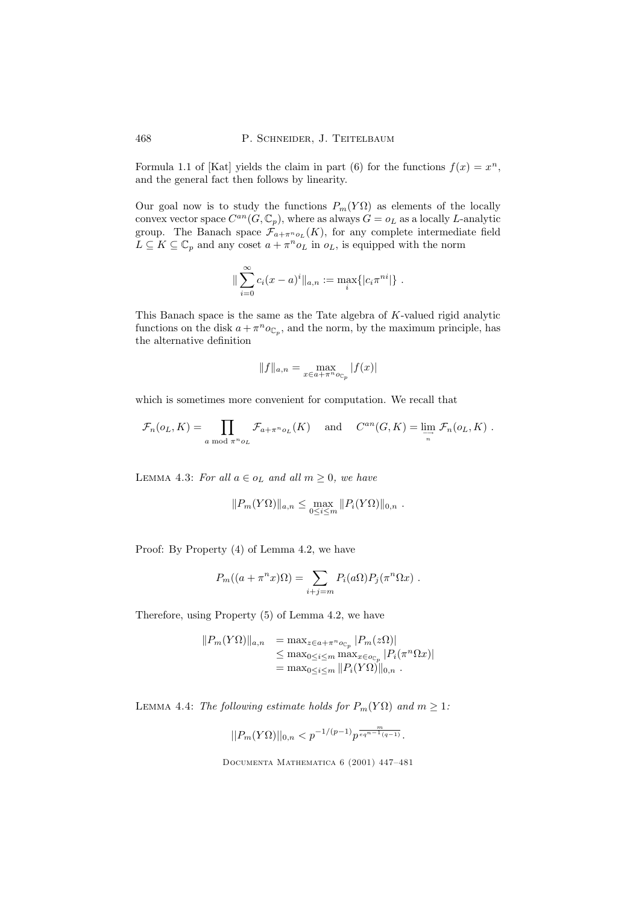Formula 1.1 of [Kat] yields the claim in part (6) for the functions  $f(x) = x^n$ , and the general fact then follows by linearity.

Our goal now is to study the functions  $P_m(Y\Omega)$  as elements of the locally convex vector space  $C^{an}(G, \mathbb{C}_p)$ , where as always  $G = o_L$  as a locally L-analytic group. The Banach space  $\mathcal{F}_{a+\pi^n o_L}(K)$ , for any complete intermediate field  $L \subseteq K \subseteq \mathbb{C}_p$  and any coset  $a + \pi^n o_L$  in  $o_L$ , is equipped with the norm

$$
\|\sum_{i=0}^{\infty} c_i(x-a)^i\|_{a,n} := \max_i\{|c_i\pi^{ni}|\}.
$$

This Banach space is the same as the Tate algebra of K-valued rigid analytic functions on the disk  $a + \pi^n o_{\mathbb{C}_p}$ , and the norm, by the maximum principle, has the alternative definition

$$
||f||_{a,n} = \max_{x \in a + \pi^n o_{\mathbb{C}_p}} |f(x)|
$$

which is sometimes more convenient for computation. We recall that

$$
\mathcal{F}_n(o_L, K) = \prod_{a \bmod \pi^n o_L} \mathcal{F}_{a + \pi^n o_L}(K) \quad \text{and} \quad C^{an}(G, K) = \lim_{\substack{\longrightarrow \\ n}} \mathcal{F}_n(o_L, K) .
$$

LEMMA 4.3: For all  $a \in o_L$  and all  $m \geq 0$ , we have

$$
||P_m(Y\Omega)||_{a,n} \leq \max_{0 \leq i \leq m} ||P_i(Y\Omega)||_{0,n} .
$$

Proof: By Property (4) of Lemma 4.2, we have

$$
P_m((a+\pi^n x)\Omega) = \sum_{i+j=m} P_i(a\Omega) P_j(\pi^n \Omega x) .
$$

Therefore, using Property (5) of Lemma 4.2, we have

$$
||P_m(Y\Omega)||_{a,n} = \max_{z \in a + \pi^n o_{C_p}} |P_m(z\Omega)|
$$
  
\n
$$
\leq \max_{0 \leq i \leq m} \max_{x \in o_{C_p}} |P_i(\pi^n \Omega x)|
$$
  
\n
$$
= \max_{0 \leq i \leq m} ||P_i(Y\Omega)||_{0,n} .
$$

LEMMA 4.4: The following estimate holds for  $P_m(Y\Omega)$  and  $m \geq 1$ :

$$
||P_m(Y\Omega)||_{0,n} < p^{-1/(p-1)}p^{\frac{m}{eq^{n-1}(q-1)}}.
$$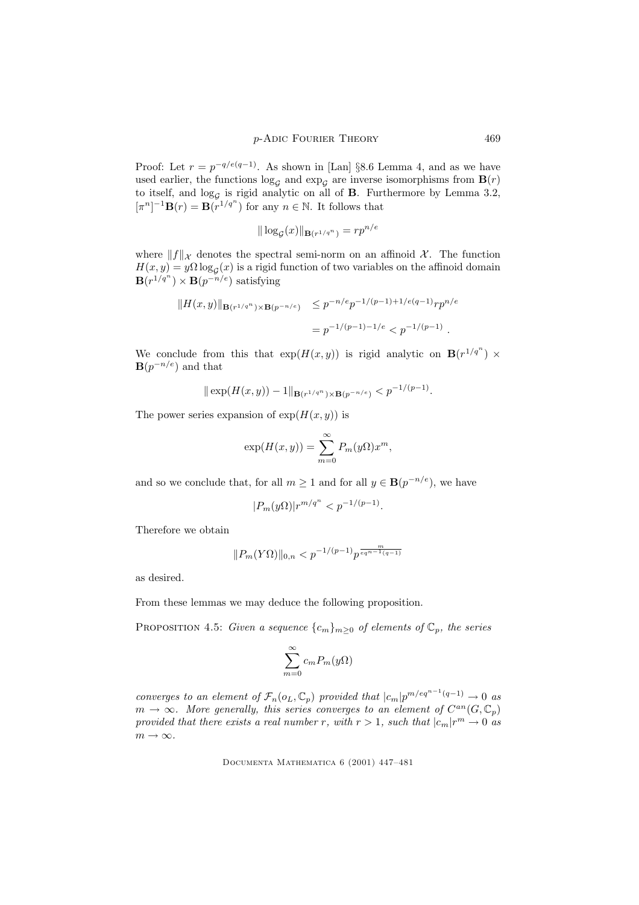Proof: Let  $r = p^{-q/e(q-1)}$ . As shown in [Lan] §8.6 Lemma 4, and as we have used earlier, the functions  $\log_{\mathcal{G}}$  and  $\exp_{\mathcal{G}}$  are inverse isomorphisms from  $\mathbf{B}(r)$ to itself, and  $log<sub>G</sub>$  is rigid analytic on all of **B**. Furthermore by Lemma 3.2,  $[\pi^n]^{-1} \mathbf{B}(r) = \mathbf{B}(r^{1/q^n})$  for any  $n \in \mathbb{N}$ . It follows that

$$
\|\log_{\mathcal{G}}(x)\|_{\mathbf{B}(r^{1/q^n})}=rp^{n/e}
$$

where  $||f||_{\mathcal{X}}$  denotes the spectral semi-norm on an affinoid  $\mathcal{X}$ . The function  $H(x, y) = y\Omega \log_{\mathcal{G}}(x)$  is a rigid function of two variables on the affinoid domain  $\mathbf{B}(r^{1/q^n}) \times \mathbf{B}(p^{-n/e})$  satisfying

$$
||H(x,y)||_{\mathbf{B}(r^{1/q^n})\times \mathbf{B}(p^{-n/e})} \leq p^{-n/e} p^{-1/(p-1)+1/e(q-1)} r p^{n/e}
$$
  
=  $p^{-1/(p-1)-1/e} < p^{-1/(p-1)}$ .

We conclude from this that  $exp(H(x, y))$  is rigid analytic on  $\mathbf{B}(r^{1/q^n}) \times$  $\mathbf{B}(p^{-n/e})$  and that

$$
\|\exp(H(x,y)) - 1\|_{\mathbf{B}(r^{1/q^n}) \times \mathbf{B}(p^{-n/e})} < p^{-1/(p-1)}.
$$

The power series expansion of  $exp(H(x, y))$  is

$$
\exp(H(x,y)) = \sum_{m=0}^{\infty} P_m(y\Omega) x^m,
$$

and so we conclude that, for all  $m \geq 1$  and for all  $y \in \mathbf{B}(p^{-n/e})$ , we have

$$
|P_m(y\Omega)|r^{m/q^n} < p^{-1/(p-1)}.
$$

Therefore we obtain

$$
\|P_m(Y\Omega)\|_{0,n} < p^{-1/(p-1)}p^{\frac{m}{eq^{n-1}(q-1)}}
$$

as desired.

From these lemmas we may deduce the following proposition.

PROPOSITION 4.5: Given a sequence  $\{c_m\}_{m\geq 0}$  of elements of  $\mathbb{C}_p$ , the series

$$
\sum_{m=0}^{\infty} c_m P_m(y\Omega)
$$

converges to an element of  $\mathcal{F}_n(o_L, \mathbb{C}_p)$  provided that  $|c_m|p^{m/eq^{n-1}(q-1)} \to 0$  as  $m \to \infty$ . More generally, this series converges to an element of  $C^{an}(G, \mathbb{C}_p)$ provided that there exists a real number r, with  $r > 1$ , such that  $|c_m|r^m \to 0$  as  $m \to \infty$ .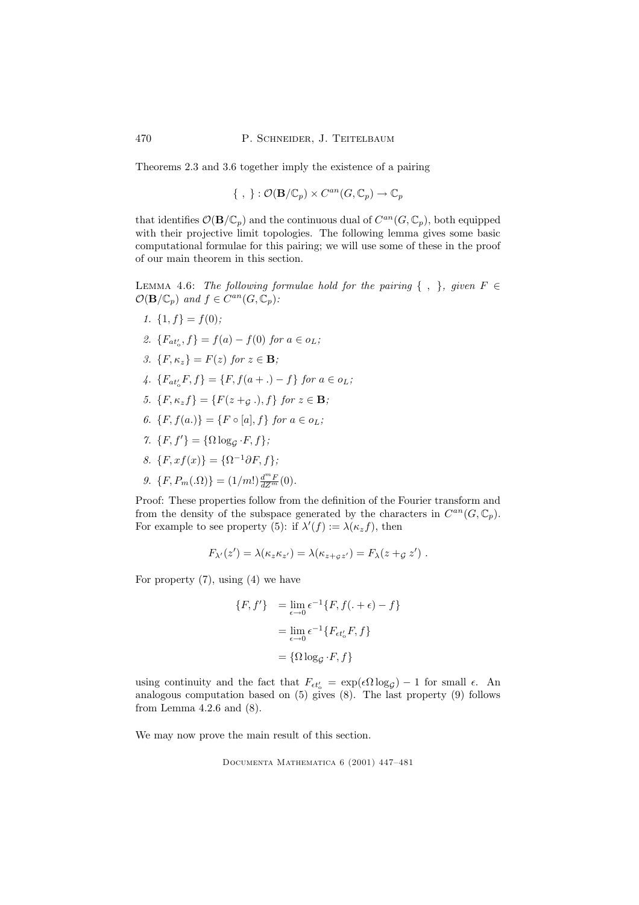Theorems 2.3 and 3.6 together imply the existence of a pairing

$$
\{\ ,\ \}:\mathcal{O}(\mathbf{B}/\mathbb{C}_p)\times C^{an}(G,\mathbb{C}_p)\to\mathbb{C}_p
$$

that identifies  $\mathcal{O}(\mathbf{B}/\mathbb{C}_p)$  and the continuous dual of  $C^{an}(G,\mathbb{C}_p)$ , both equipped with their projective limit topologies. The following lemma gives some basic computational formulae for this pairing; we will use some of these in the proof of our main theorem in this section.

LEMMA 4.6: The following formulae hold for the pairing  $\{ , \}$ , given  $F \in$  $\mathcal{O}(\mathbf{B}/\mathbb{C}_p)$  and  $f \in C^{an}(G, \mathbb{C}_p)$ :

- 1.  $\{1, f\} = f(0);$
- 2.  $\{F_{at'_o}, f\} = f(a) f(0)$  for  $a \in o_L$ ;
- 3.  ${F, \kappa_z} = F(z)$  for  $z \in \mathbf{B}$ ;
- 4.  ${F_{at'_o}F, f} = {F, f(a + .) f} for a \in o_L;$
- 5.  ${F, \kappa_z f} = {F(z +_{\mathcal{G}} \cdot), f}$  for  $z \in \mathbf{B}$ ;
- 6.  $\{F, f(a.)\} = \{F \circ [a], f\}$  for  $a \in o_L$ ;
- 7.  $\{F, f'\} = \{\Omega \log_{\mathcal{G}} \cdot F, f\};$
- 8.  $\{F, xf(x)\} = \{\Omega^{-1}\partial F, f\};$
- 9.  $\{F, P_m(\Omega)\} = (1/m!) \frac{d^m F}{dZ^m}(0)$ .

Proof: These properties follow from the definition of the Fourier transform and from the density of the subspace generated by the characters in  $C^{an}(G, \mathbb{C}_p)$ . For example to see property (5): if  $\lambda'(f) := \lambda(\kappa_z f)$ , then

$$
F_{\lambda'}(z') = \lambda(\kappa_z \kappa_{z'}) = \lambda(\kappa_{z+gz'}) = F_{\lambda}(z+gz') .
$$

For property  $(7)$ , using  $(4)$  we have

$$
\{F, f'\} = \lim_{\epsilon \to 0} \epsilon^{-1} \{F, f(. + \epsilon) - f\}
$$

$$
= \lim_{\epsilon \to 0} \epsilon^{-1} \{F_{\epsilon t'_o} F, f\}
$$

$$
= \{\Omega \log_{\mathcal{G}} \cdot F, f\}
$$

using continuity and the fact that  $F_{\epsilon t_0'} = \exp(\epsilon \Omega \log g) - 1$  for small  $\epsilon$ . An analogous computation based on (5) gives (8). The last property (9) follows from Lemma 4.2.6 and (8).

We may now prove the main result of this section.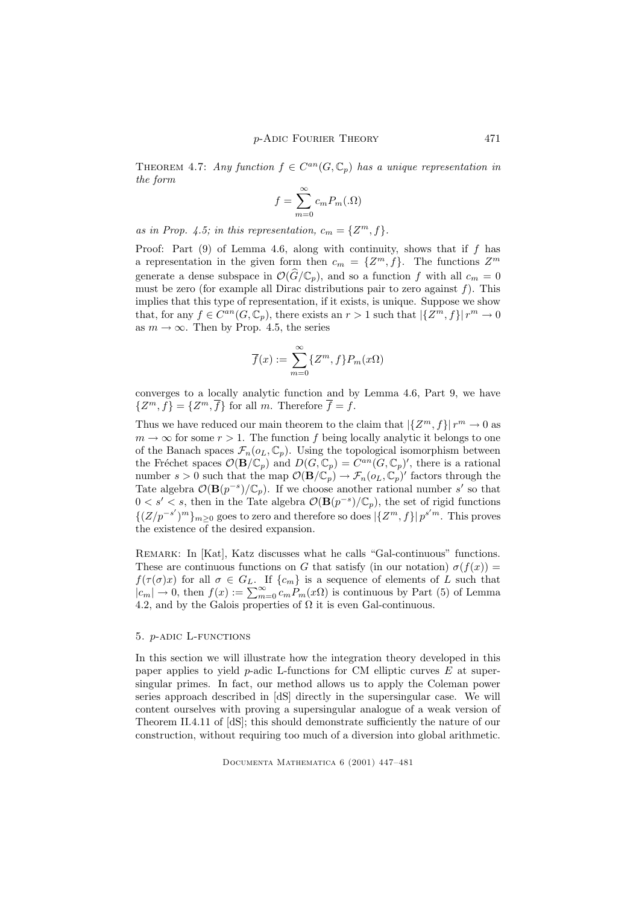THEOREM 4.7: Any function  $f \in C^{an}(G, \mathbb{C}_p)$  has a unique representation in the form

$$
f = \sum_{m=0}^{\infty} c_m P_m(\Omega)
$$

as in Prop. 4.5; in this representation,  $c_m = \{Z^m, f\}.$ 

Proof: Part  $(9)$  of Lemma 4.6, along with continuity, shows that if f has a representation in the given form then  $c_m = \{Z^m, f\}$ . The functions  $Z^m$ generate a dense subspace in  $\mathcal{O}(\widehat{G}/\mathbb{C}_p)$ , and so a function f with all  $c_m = 0$ must be zero (for example all Dirac distributions pair to zero against  $f$ ). This implies that this type of representation, if it exists, is unique. Suppose we show that, for any  $f \in C^{an}(G, \mathbb{C}_p)$ , there exists an  $r > 1$  such that  $|\{Z^m, f\}| r^m \to 0$ as  $m \to \infty$ . Then by Prop. 4.5, the series

$$
\overline{f}(x) := \sum_{m=0}^{\infty} \{Z^m, f\} P_m(x\Omega)
$$

converges to a locally analytic function and by Lemma 4.6, Part 9, we have  $\{Z^m, f\} = \{Z^m, \overline{f}\}\$ for all m. Therefore  $\overline{f} = f$ .

Thus we have reduced our main theorem to the claim that  $\left|\left\{Z^m, f\right\}\right| r^m \to 0$  as  $m \to \infty$  for some  $r > 1$ . The function f being locally analytic it belongs to one of the Banach spaces  $\mathcal{F}_n(o_L, \mathbb{C}_p)$ . Using the topological isomorphism between the Fréchet spaces  $\mathcal{O}(\mathbf{B}/\mathbb{C}_p)$  and  $D(G,\mathbb{C}_p) = \overline{C^{an}(G,\mathbb{C}_p)}'$ , there is a rational number  $s > 0$  such that the map  $\mathcal{O}(\mathbf{B}/\mathbb{C}_p) \to \mathcal{F}_n(o_L, \mathbb{C}_p)'$  factors through the Tate algebra  $\mathcal{O}(\mathbf{B}(p^{-s})/\mathbb{C}_p)$ . If we choose another rational number s' so that  $0 < s' < s$ , then in the Tate algebra  $\mathcal{O}(\mathbf{B}(p^{-s})/\mathbb{C}_p)$ , the set of rigid functions  ${{(Z/p^{-s'})^m}}_{m\geq 0}$  goes to zero and therefore so does  ${|\{Z^m, f\}|p^{s'm}}$ . This proves the existence of the desired expansion.

Remark: In [Kat], Katz discusses what he calls "Gal-continuous" functions. These are continuous functions on G that satisfy (in our notation)  $\sigma(f(x))$  =  $f(\tau(\sigma)x)$  for all  $\sigma \in G_L$ . If  $\{c_m\}$  is a sequence of elements of L such that  $|c_m| \to 0$ , then  $f(x) := \sum_{m=0}^{\infty} c_m P_m(x)$  is continuous by Part (5) of Lemma 4.2, and by the Galois properties of  $\Omega$  it is even Gal-continuous.

## 5. *p*-ADIC L-FUNCTIONS

In this section we will illustrate how the integration theory developed in this paper applies to yield  $p$ -adic L-functions for CM elliptic curves  $E$  at supersingular primes. In fact, our method allows us to apply the Coleman power series approach described in [dS] directly in the supersingular case. We will content ourselves with proving a supersingular analogue of a weak version of Theorem II.4.11 of [dS]; this should demonstrate sufficiently the nature of our construction, without requiring too much of a diversion into global arithmetic.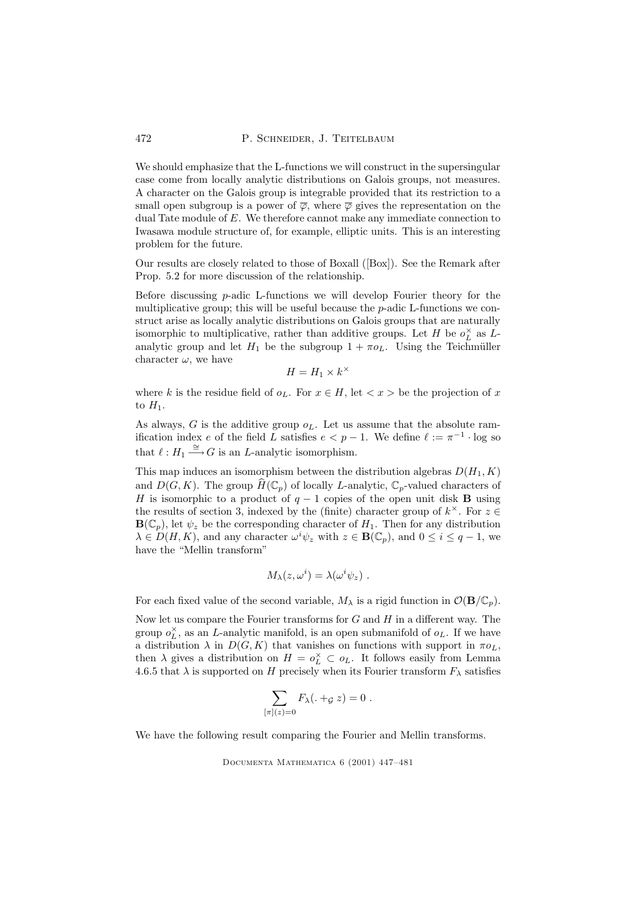We should emphasize that the L-functions we will construct in the supersingular case come from locally analytic distributions on Galois groups, not measures. A character on the Galois group is integrable provided that its restriction to a small open subgroup is a power of  $\overline{\varphi}$ , where  $\overline{\varphi}$  gives the representation on the dual Tate module of E. We therefore cannot make any immediate connection to Iwasawa module structure of, for example, elliptic units. This is an interesting problem for the future.

Our results are closely related to those of Boxall ([Box]). See the Remark after Prop. 5.2 for more discussion of the relationship.

Before discussing  $p$ -adic L-functions we will develop Fourier theory for the multiplicative group; this will be useful because the  $p$ -adic L-functions we construct arise as locally analytic distributions on Galois groups that are naturally isomorphic to multiplicative, rather than additive groups. Let  $H$  be  $o_L^{\times}$  as  $L$ analytic group and let  $H_1$  be the subgroup  $1 + \pi o_L$ . Using the Teichmüller character  $\omega$ , we have ×

$$
H = H_1 \times k^3
$$

where k is the residue field of  $o_L$ . For  $x \in H$ , let  $\langle x \rangle$  be the projection of x to  $H_1$ .

As always, G is the additive group  $o_L$ . Let us assume that the absolute ramification index e of the field L satisfies  $e < p - 1$ . We define  $\ell := \pi^{-1} \cdot \log$  so that  $\ell : H_1 \stackrel{\cong}{\longrightarrow} G$  is an *L*-analytic isomorphism.

This map induces an isomorphism between the distribution algebras  $D(H_1, K)$ and  $D(G, K)$ . The group  $H(\mathbb{C}_p)$  of locally L-analytic,  $\mathbb{C}_p$ -valued characters of H is isomorphic to a product of  $q-1$  copies of the open unit disk **B** using the results of section 3, indexed by the (finite) character group of  $k^{\times}$ . For  $z \in$  $\mathbf{B}(\mathbb{C}_p)$ , let  $\psi_z$  be the corresponding character of  $H_1$ . Then for any distribution  $\lambda \in D(H, K)$ , and any character  $\omega^{i} \psi_{z}$  with  $z \in \mathbf{B}(\mathbb{C}_{p})$ , and  $0 \leq i \leq q-1$ , we have the "Mellin transform"

$$
M_{\lambda}(z,\omega^{i})=\lambda(\omega^{i}\psi_{z})\ .
$$

For each fixed value of the second variable,  $M_{\lambda}$  is a rigid function in  $\mathcal{O}(\mathbf{B}/\mathbb{C}_p)$ .

Now let us compare the Fourier transforms for  $G$  and  $H$  in a different way. The group  $o_L^{\times}$ , as an L-analytic manifold, is an open submanifold of  $o_L$ . If we have a distribution  $\lambda$  in  $D(G, K)$  that vanishes on functions with support in  $\pi o_L$ , then  $\lambda$  gives a distribution on  $H = o_L^{\times} \subset o_L$ . It follows easily from Lemma 4.6.5 that  $\lambda$  is supported on H precisely when its Fourier transform  $F_{\lambda}$  satisfies

$$
\sum_{[\pi](z)=0} F_{\lambda}(. + g z) = 0.
$$

We have the following result comparing the Fourier and Mellin transforms.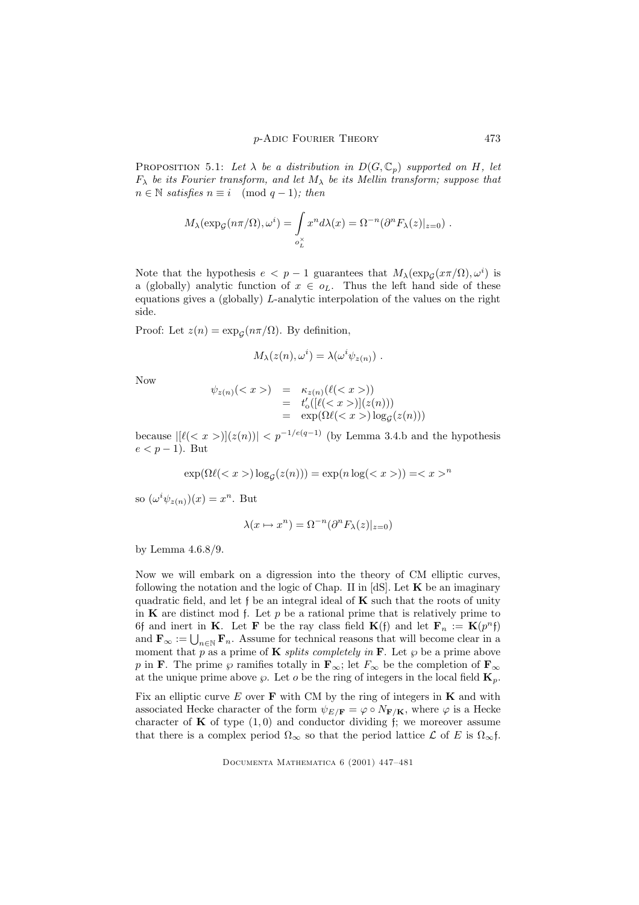PROPOSITION 5.1: Let  $\lambda$  be a distribution in  $D(G, \mathbb{C}_p)$  supported on H, let  $F_{\lambda}$  be its Fourier transform, and let  $M_{\lambda}$  be its Mellin transform; suppose that  $n \in \mathbb{N}$  satisfies  $n \equiv i \pmod{q-1}$ ; then

$$
M_{\lambda}(\exp_{\mathcal{G}}(n\pi/\Omega), \omega^{i}) = \int_{o_{L}^{\times}} x^{n} d\lambda(x) = \Omega^{-n}(\partial^{n} F_{\lambda}(z)|_{z=0}) .
$$

Note that the hypothesis  $e < p-1$  guarantees that  $M_{\lambda}(\exp_{\mathcal{G}}(x\pi/\Omega), \omega^i)$  is a (globally) analytic function of  $x \in o<sub>L</sub>$ . Thus the left hand side of these equations gives a (globally) L-analytic interpolation of the values on the right side.

Proof: Let  $z(n) = \exp_{\mathcal{G}}(n\pi/\Omega)$ . By definition,

$$
M_{\lambda}(z(n), \omega^{i}) = \lambda(\omega^{i} \psi_{z(n)}) .
$$

Now

$$
\psi_{z(n)}() = \kappa_{z(n)}(\ell())
$$
  
=  $t'_{o}([\ell())](z(n))$   
=  $\exp(\Omega\ell()) \log(\ell(z(n)))$ 

because  $|[\ell(\langle x \rangle)](z(n))| \langle p^{-1/e(q-1)} \rangle$  (by Lemma 3.4.b and the hypothesis  $e < p-1$ ). But

$$
\exp(\Omega \ell() \log_{\mathcal{G}}(z(n))) = \exp(n \log(\langle x \rangle)) = \langle x \rangle^n
$$

so  $(\omega^i \psi_{z(n)})(x) = x^n$ . But

$$
\lambda(x \mapsto x^n) = \Omega^{-n}(\partial^n F_\lambda(z)|_{z=0})
$$

by Lemma 4.6.8/9.

Now we will embark on a digression into the theory of CM elliptic curves, following the notation and the logic of Chap. II in  $[dS]$ . Let  $\bf{K}$  be an imaginary quadratic field, and let  $\mathfrak f$  be an integral ideal of  $\mathbf K$  such that the roots of unity in  $\bf{K}$  are distinct mod f. Let p be a rational prime that is relatively prime to 6f and inert in **K**. Let **F** be the ray class field **K**(f) and let **F**<sub>n</sub> := **K**( $p^{n}$ f) and  $\mathbf{F}_{\infty} := \bigcup_{n \in \mathbb{N}} \mathbf{F}_n$ . Assume for technical reasons that will become clear in a moment that p as a prime of **K** splits completely in **F**. Let  $\wp$  be a prime above p in F. The prime  $\wp$  ramifies totally in  $\mathbf{F}_{\infty}$ ; let  $F_{\infty}$  be the completion of  $\mathbf{F}_{\infty}$ at the unique prime above  $\wp$ . Let  $o$  be the ring of integers in the local field  $\mathbf{K}_p$ .

Fix an elliptic curve  $E$  over  $\bf{F}$  with CM by the ring of integers in  $\bf{K}$  and with associated Hecke character of the form  $\psi_{E/F} = \varphi \circ N_{\mathbf{F}/\mathbf{K}}$ , where  $\varphi$  is a Hecke character of **K** of type  $(1,0)$  and conductor dividing f; we moreover assume that there is a complex period  $\Omega_{\infty}$  so that the period lattice  $\mathcal L$  of E is  $\Omega_{\infty}$ f.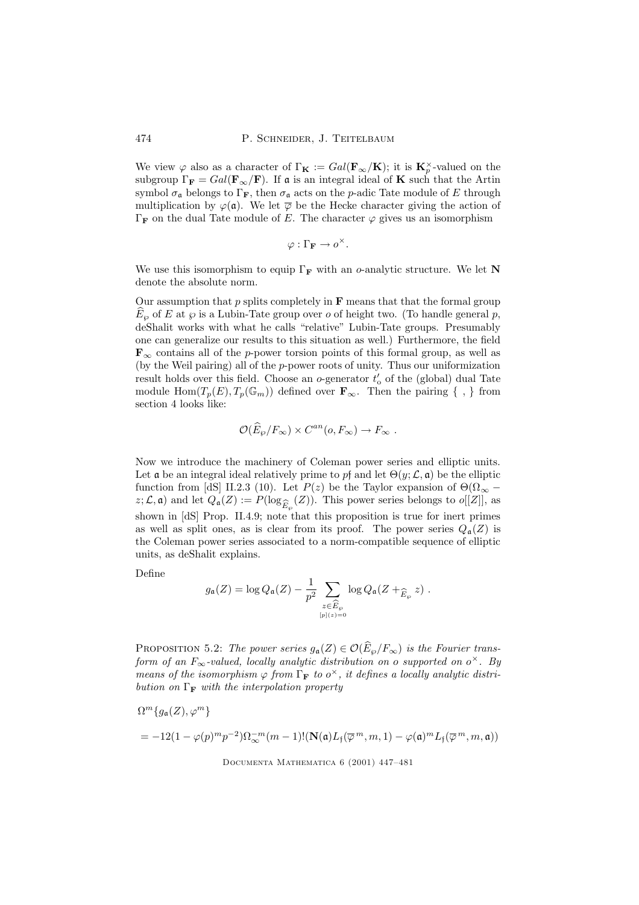We view  $\varphi$  also as a character of  $\Gamma_{\mathbf{K}} := Gal(\mathbf{F}_{\infty}/\mathbf{K})$ ; it is  $\mathbf{K}_p^{\times}$ -valued on the subgroup  $\Gamma_{\mathbf{F}} = Gal(\mathbf{F}_{\infty}/\mathbf{F})$ . If a is an integral ideal of **K** such that the Artin symbol  $\sigma_{\mathfrak{a}}$  belongs to  $\Gamma_{\mathbf{F}}$ , then  $\sigma_{\mathfrak{a}}$  acts on the *p*-adic Tate module of E through multiplication by  $\varphi(\mathfrak{a})$ . We let  $\overline{\varphi}$  be the Hecke character giving the action of  $\Gamma_F$  on the dual Tate module of E. The character  $\varphi$  gives us an isomorphism

$$
\varphi:\Gamma_{\mathbf{F}}\to o^{\times}.
$$

We use this isomorphism to equip  $\Gamma_F$  with an o-analytic structure. We let N denote the absolute norm.

Our assumption that p splits completely in  $\bf{F}$  means that that the formal group  $\widehat{E}_{\varphi}$  of E at  $\varphi$  is a Lubin-Tate group over o of height two. (To handle general p, deShalit works with what he calls "relative" Lubin-Tate groups. Presumably one can generalize our results to this situation as well.) Furthermore, the field  $\mathbf{F}_{\infty}$  contains all of the p-power torsion points of this formal group, as well as (by the Weil pairing) all of the p-power roots of unity. Thus our uniformization result holds over this field. Choose an o-generator  $t'_{\rm o}$  of the (global) dual Tate module  $\text{Hom}(T_p(E), T_p(\mathbb{G}_m))$  defined over  $\mathbf{F}_{\infty}$ . Then the pairing  $\{\ ,\ \}$  from section 4 looks like:

$$
\mathcal{O}(\widehat{E}_{\wp}/F_{\infty}) \times C^{an}(o, F_{\infty}) \to F_{\infty} .
$$

Now we introduce the machinery of Coleman power series and elliptic units. Let  $\alpha$  be an integral ideal relatively prime to pf and let  $\Theta(y; \mathcal{L}, \alpha)$  be the elliptic function from [dS] II.2.3 (10). Let  $P(z)$  be the Taylor expansion of  $\Theta(\Omega_{\infty}$  $z; \mathcal{L}, \mathfrak{a}$  and let  $Q_{\mathfrak{a}}(Z) := P(\log_{\widehat{E}_{\wp}}(Z))$ . This power series belongs to  $o[[Z]]$ , as shown in [dS] Prop. II.4.9; note that this proposition is true for inert primes as well as split ones, as is clear from its proof. The power series  $Q_{\mathfrak{a}}(Z)$  is the Coleman power series associated to a norm-compatible sequence of elliptic units, as deShalit explains.

Define

$$
g_{\mathfrak{a}}(Z) = \log Q_{\mathfrak{a}}(Z) - \frac{1}{p^2} \sum_{\substack{z \in \widehat{E}_{\wp} \\ [p] (z) = 0}} \log Q_{\mathfrak{a}}(Z +_{\widehat{E}_{\wp}} z).
$$

PROPOSITION 5.2: The power series  $g_{\mathfrak{a}}(Z) \in \mathcal{O}(\widehat{E}_{\wp}/F_{\infty})$  is the Fourier transform of an  $F_{\infty}$ -valued, locally analytic distribution on o supported on  $o^{\times}$ . By means of the isomorphism  $\varphi$  from  $\Gamma_F$  to  $o^{\times}$ , it defines a locally analytic distribution on  $\Gamma_F$  with the interpolation property

$$
\Omega^{m}\lbrace g_{\mathfrak{a}}(Z), \varphi^{m}\rbrace
$$
  
= -12(1 - \varphi(p)^{m}p^{-2})\Omega\_{\infty}^{-m}(m-1)!(\mathbf{N}(\mathfrak{a})L\_{\mathfrak{f}}(\overline{\varphi}^{m}, m, 1) - \varphi(\mathfrak{a})^{m}L\_{\mathfrak{f}}(\overline{\varphi}^{m}, m, \mathfrak{a}))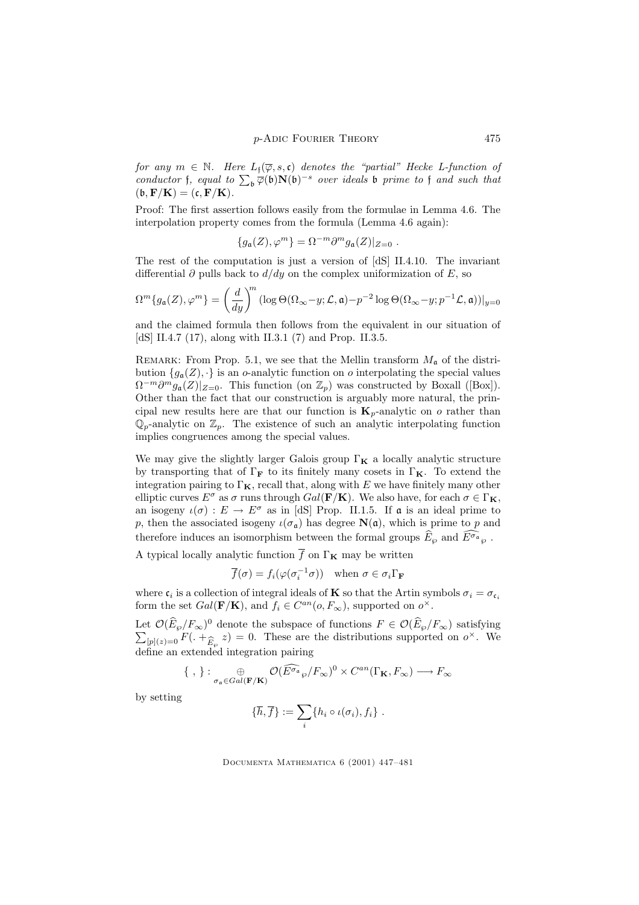for any  $m \in \mathbb{N}$ . Here  $L_f(\overline{\varphi}, s, \mathfrak{c})$  denotes the "partial" Hecke L-function of conductor f, equal to  $\sum_{\mathfrak{b}} \overline{\varphi}(\mathfrak{b}) \mathbf{N}(\mathfrak{b})^{-s}$  over ideals  $\mathfrak{b}$  prime to f and such that  $(\mathfrak{b}, \mathbf{F}/\mathbf{K}) = (\mathfrak{c}, \mathbf{F}/\mathbf{K}).$ 

Proof: The first assertion follows easily from the formulae in Lemma 4.6. The interpolation property comes from the formula (Lemma 4.6 again):

$$
\{g_{\mathfrak{a}}(Z), \varphi^m\} = \Omega^{-m} \partial^m g_{\mathfrak{a}}(Z)|_{Z=0} .
$$

The rest of the computation is just a version of [dS] II.4.10. The invariant differential  $\partial$  pulls back to  $d/dy$  on the complex uniformization of E, so

$$
\Omega^m\{g_{\mathfrak{a}}(Z),\varphi^m\} = \left(\frac{d}{dy}\right)^m (\log \Theta(\Omega_{\infty}-y; \mathcal{L}, \mathfrak{a}) - p^{-2} \log \Theta(\Omega_{\infty}-y; p^{-1}\mathcal{L}, \mathfrak{a}))|_{y=0}
$$

and the claimed formula then follows from the equivalent in our situation of [dS] II.4.7 (17), along with II.3.1 (7) and Prop. II.3.5.

REMARK: From Prop. 5.1, we see that the Mellin transform  $M_a$  of the distribution  ${g_a(Z), \cdot}$  is an o-analytic function on o interpolating the special values  $\Omega^{-m}\partial^m g_{\mathfrak{a}}(Z)|_{Z=0}$ . This function (on  $\mathbb{Z}_p$ ) was constructed by Boxall ([Box]). Other than the fact that our construction is arguably more natural, the principal new results here are that our function is  $\mathbf{K}_p$ -analytic on o rather than  $\mathbb{Q}_p$ -analytic on  $\mathbb{Z}_p$ . The existence of such an analytic interpolating function implies congruences among the special values.

We may give the slightly larger Galois group  $\Gamma_{\mathbf{K}}$  a locally analytic structure by transporting that of  $\Gamma_F$  to its finitely many cosets in  $\Gamma_K$ . To extend the integration pairing to  $\Gamma_K$ , recall that, along with E we have finitely many other elliptic curves  $E^{\sigma}$  as  $\sigma$  runs through  $Gal(\mathbf{F}/\mathbf{K})$ . We also have, for each  $\sigma \in \Gamma_{\mathbf{K}}$ , an isogeny  $\iota(\sigma) : E \to E^{\sigma}$  as in [dS] Prop. II.1.5. If **a** is an ideal prime to p, then the associated isogeny  $\iota(\sigma_{\mathfrak{a}})$  has degree  $\mathbf{N}(\mathfrak{a})$ , which is prime to p and therefore induces an isomorphism between the formal groups  $\widehat{E}_{\varphi}$  and  $\widehat{E^{\sigma_a}}_{\varphi}$ .

A typical locally analytic function  $\overline{f}$  on  $\Gamma_{\mathbf{K}}$  may be written

$$
\overline{f}(\sigma) = f_i(\varphi(\sigma_i^{-1}\sigma)) \quad \text{when } \sigma \in \sigma_i \Gamma_\mathbf{F}
$$

where  $\mathfrak{c}_i$  is a collection of integral ideals of **K** so that the Artin symbols  $\sigma_i = \sigma_{\mathfrak{c}_i}$ form the set  $Gal(\mathbf{F}/\mathbf{K})$ , and  $f_i \in C^{an}(o, F_{\infty})$ , supported on  $o^{\times}$ .

Let  $\mathcal{O}(E_\wp/F_\infty)^0$  denote the subspace of functions  $F \in \mathcal{O}(E_\wp/F_\infty)$  satisfying  $\sum_{\{r: |r|=0} P(r) = \hat{r}} F(r) + \hat{r} \geq 0$ . These are the distributions supported on  $o^\times$ . We  $[p](z)=0$   $F(\cdot + \hat{E}_{\wp} z) = 0$ . These are the distributions supported on  $o^{\times}$ . We define an extended integration pairing

$$
\{\ ,\ \}:\underset{\sigma_{\mathfrak{a}}\in Gal(\mathbf{F}/\mathbf{K})}{\oplus}\mathcal{O}(\widehat{E^{\sigma_{\mathfrak{a}}}}_{\wp}/F_{\infty})^{0}\times C^{an}(\Gamma_{\mathbf{K}},F_{\infty})\longrightarrow F_{\infty}
$$

by setting

$$
\{\overline{h},\overline{f}\}:=\sum_i\{h_i\circ\iota(\sigma_i),f_i\}.
$$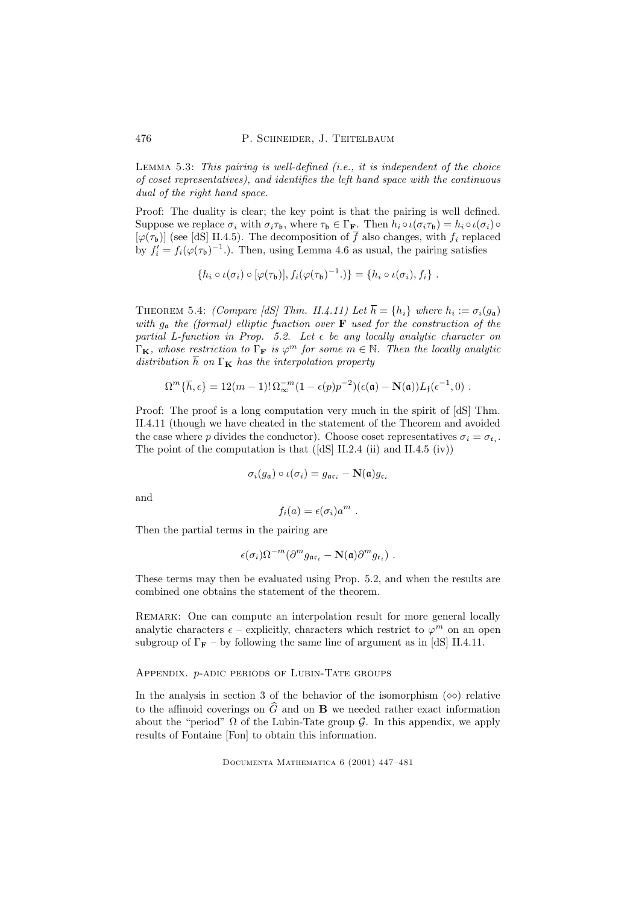Lemma 5.3: This pairing is well-defined (i.e., it is independent of the choice of coset representatives), and identifies the left hand space with the continuous dual of the right hand space.

Proof: The duality is clear; the key point is that the pairing is well defined. Suppose we replace  $\sigma_i$  with  $\sigma_i \tau_{\mathfrak{b}}$ , where  $\tau_{\mathfrak{b}} \in \Gamma_{\mathbf{F}}$ . Then  $h_i \circ \iota(\sigma_i \tau_{\mathfrak{b}}) = h_i \circ \iota(\sigma_i) \circ$  $[\varphi(\tau_{\mathfrak{b}})]$  (see [dS] II.4.5). The decomposition of  $\overline{f}$  also changes, with  $f_i$  replaced by  $f_i' = f_i(\varphi(\tau_b)^{-1})$ . Then, using Lemma 4.6 as usual, the pairing satisfies

$$
\{h_i \circ \iota(\sigma_i) \circ [\varphi(\tau_{\mathfrak{b}})], f_i(\varphi(\tau_{\mathfrak{b}})^{-1}.\} = \{h_i \circ \iota(\sigma_i), f_i\}.
$$

THEOREM 5.4: (Compare [dS] Thm. II.4.11) Let  $h = \{h_i\}$  where  $h_i := \sigma_i(g_{\mathfrak{a}})$ with  $g_a$  the (formal) elliptic function over **F** used for the construction of the partial L-function in Prop. 5.2. Let  $\epsilon$  be any locally analytic character on  $\Gamma_{\mathbf{K}}$ , whose restriction to  $\Gamma_{\mathbf{F}}$  is  $\varphi^m$  for some  $m \in \mathbb{N}$ . Then the locally analytic distribution  $\overline{h}$  on  $\Gamma_K$  has the interpolation property

$$
\Omega^m\{\overline{h},\epsilon\} = 12(m-1)!\,\Omega_\infty^{-m}(1-\epsilon(p)p^{-2})(\epsilon(\mathfrak{a})-\mathbf{N}(\mathfrak{a}))L_\mathfrak{f}(\epsilon^{-1},0) .
$$

Proof: The proof is a long computation very much in the spirit of [dS] Thm. II.4.11 (though we have cheated in the statement of the Theorem and avoided the case where p divides the conductor). Choose coset representatives  $\sigma_i = \sigma_{\mathfrak{c}_i}$ . The point of the computation is that  $([dS] II.2.4$  (ii) and II.4.5 (iv))

$$
\sigma_i(g_{\mathfrak{a}}) \circ \iota(\sigma_i) = g_{\mathfrak{a} \mathfrak{c}_i} - \mathbf{N}(\mathfrak{a}) g_{\mathfrak{c}_i}
$$

and

$$
f_i(a) = \epsilon(\sigma_i) a^m .
$$

Then the partial terms in the pairing are

$$
\epsilon(\sigma_i) \Omega^{-m} (\partial^m g_{{\mathfrak a} {\mathfrak c}_i} - {\mathbf N}({\mathfrak a}) \partial^m g_{{\mathfrak c}_i}) \ .
$$

These terms may then be evaluated using Prop. 5.2, and when the results are combined one obtains the statement of the theorem.

REMARK: One can compute an interpolation result for more general locally analytic characters  $\epsilon$  – explicitly, characters which restrict to  $\varphi^m$  on an open subgroup of  $\Gamma_F$  – by following the same line of argument as in [dS] II.4.11.

## Appendix. p-adic periods of Lubin-Tate groups

In the analysis in section 3 of the behavior of the isomorphism  $(\infty)$  relative to the affinoid coverings on  $\widehat{G}$  and on **B** we needed rather exact information about the "period"  $\Omega$  of the Lubin-Tate group  $\mathcal G$ . In this appendix, we apply results of Fontaine [Fon] to obtain this information.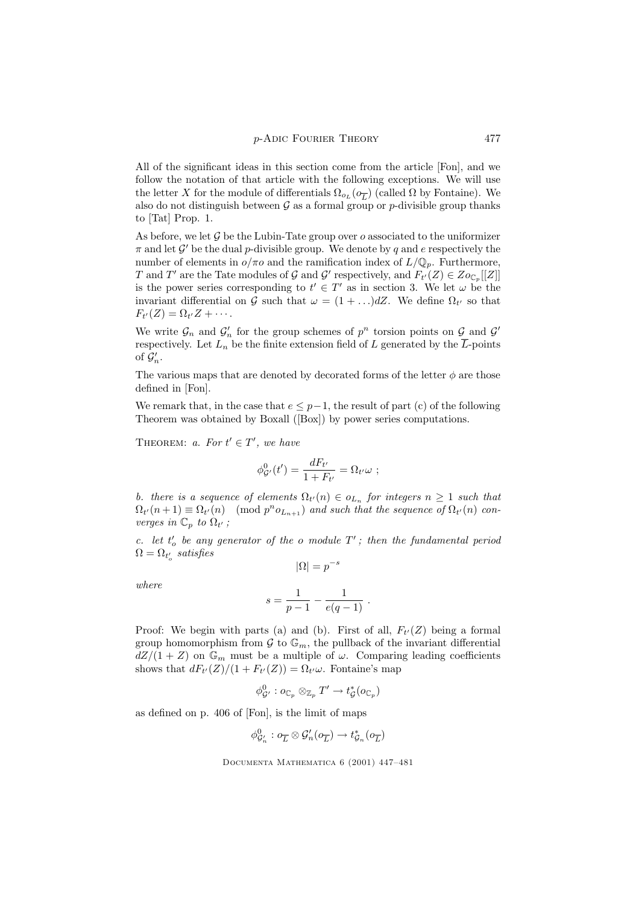All of the significant ideas in this section come from the article [Fon], and we follow the notation of that article with the following exceptions. We will use the letter X for the module of differentials  $\Omega_{o_L}(o_{\overline{L}})$  (called  $\Omega$  by Fontaine). We also do not distinguish between  $G$  as a formal group or p-divisible group thanks to [Tat] Prop. 1.

As before, we let  $\mathcal G$  be the Lubin-Tate group over  $o$  associated to the uniformizer  $\pi$  and let  $\mathcal{G}'$  be the dual p-divisible group. We denote by q and e respectively the number of elements in  $o/\pi o$  and the ramification index of  $L/\mathbb{Q}_p$ . Furthermore, T and T' are the Tate modules of G and G' respectively, and  $F_{t'}(Z) \in \mathcal{Z}_{O_{\mathbb{C}_p}}[[Z]]$ is the power series corresponding to  $t' \in T'$  as in section 3. We let  $\omega$  be the invariant differential on G such that  $\omega = (1 + ... )dZ$ . We define  $\Omega_{t'}$  so that  $F_{t'}(Z)=\Omega_{t'}Z+\cdots$ .

We write  $\mathcal{G}_n$  and  $\mathcal{G}'_n$  for the group schemes of  $p^n$  torsion points on  $\mathcal{G}_n$  and  $\mathcal{G}'$ respectively. Let  $L_n$  be the finite extension field of L generated by the  $\overline{L}$ -points of  $\mathcal{G}'_n$ .

The various maps that are denoted by decorated forms of the letter  $\phi$  are those defined in [Fon].

We remark that, in the case that  $e \leq p-1$ , the result of part (c) of the following Theorem was obtained by Boxall ([Box]) by power series computations.

THEOREM: a. For  $t' \in T'$ , we have

$$
\phi^0_{\mathcal{G}'}(t') = \frac{dF_{t'}}{1 + F_{t'}} = \Omega_{t'}\omega \ ;
$$

b. there is a sequence of elements  $\Omega_{t'}(n) \in o_{L_n}$  for integers  $n \geq 1$  such that  $\Omega_{t'}(n+1) \equiv \Omega_{t'}(n) \pmod{p^n o_{L_{n+1}}}$  and such that the sequence of  $\Omega_{t'}(n)$  converges in  $\mathbb{C}_p$  to  $\Omega_{t'}$ ;

c. let  $t'_{o}$  be any generator of the o module  $T'$ ; then the fundamental period  $\Omega = \Omega_{t_o'}$  satisfies  $|\Omega| = p^{-s}$ 

where

$$
s = \frac{1}{p-1} - \frac{1}{e(q-1)}.
$$

Proof: We begin with parts (a) and (b). First of all,  $F_{t'}(Z)$  being a formal group homomorphism from  $\mathcal G$  to  $\mathbb G_m$ , the pullback of the invariant differential  $dZ/(1+Z)$  on  $\mathbb{G}_m$  must be a multiple of  $\omega$ . Comparing leading coefficients shows that  $dF_{t'}(Z)/(1 + F_{t'}(Z)) = \Omega_{t'}\omega$ . Fontaine's map

$$
\phi^0_{\mathcal{G}'}: o_{\mathbb{C}_p} \otimes_{\mathbb{Z}_p} T' \to t_{\mathcal{G}}^*(o_{\mathbb{C}_p})
$$

as defined on p. 406 of [Fon], is the limit of maps

$$
\phi_{{\mathcal G}'_n}^0: \phi_{\overline{L}} \otimes \mathcal{G}'_n(\phi_{\overline{L}}) \to t_{\mathcal{G}_n}^*(\phi_{\overline{L}})
$$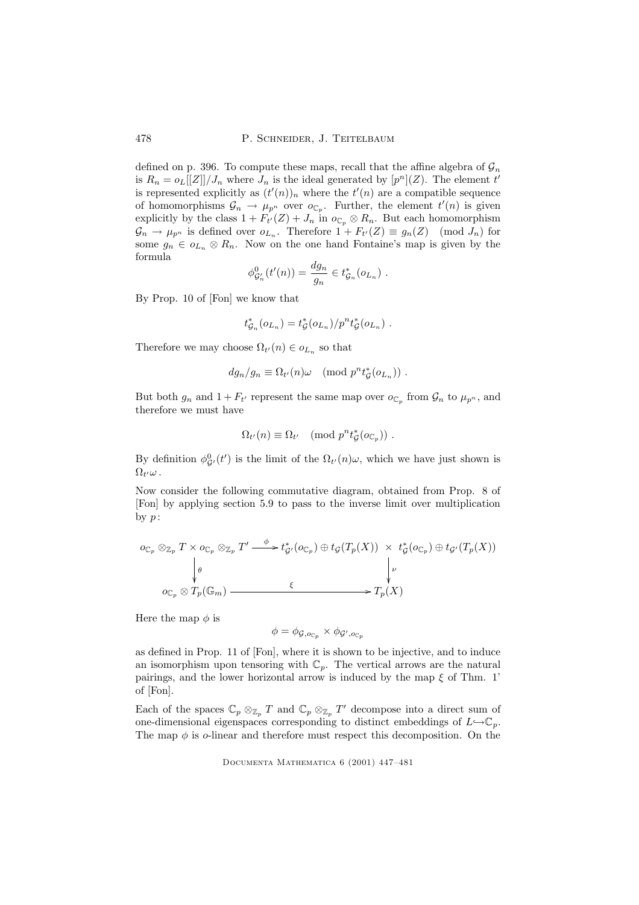478 P. SCHNEIDER, J. TEITELBAUM

defined on p. 396. To compute these maps, recall that the affine algebra of  $\mathcal{G}_n$ is  $R_n = o_L[[Z]]/J_n$  where  $J_n$  is the ideal generated by  $[p^n](Z)$ . The element t' is represented explicitly as  $(t'(n))_n$  where the  $t'(n)$  are a compatible sequence of homomorphisms  $\mathcal{G}_n \to \mu_{p^n}$  over  $o_{\mathbb{C}_p}$ . Further, the element  $t'(n)$  is given explicitly by the class  $1 + F_{t'}(Z) + J_n$  in  $o_{\mathbb{C}_p} \otimes R_n$ . But each homomorphism  $\mathcal{G}_n \to \mu_{p^n}$  is defined over  $o_{L_n}$ . Therefore  $1 + F_{t'}(Z) \equiv g_n(Z) \pmod{J_n}$  for some  $g_n \in o_{L_n} \otimes R_n$ . Now on the one hand Fontaine's map is given by the formula

$$
\phi_{\mathcal{G}'_n}^0(t'(n)) = \frac{dg_n}{g_n} \in t_{\mathcal{G}_n}^*(o_{L_n}) .
$$

By Prop. 10 of [Fon] we know that

$$
t_{\mathcal{G}_n}^*(o_{L_n})=t_{\mathcal{G}}^*(o_{L_n})/p^nt_{\mathcal{G}}^*(o_{L_n})\ .
$$

Therefore we may choose  $\Omega_{t'}(n) \in o_{L_n}$  so that

$$
dg_n/g_n \equiv \Omega_{t'}(n)\omega \pmod{p^n t^*_\mathcal{G}(o_{L_n})}.
$$

But both  $g_n$  and  $1 + F_{t'}$  represent the same map over  $o_{\mathbb{C}_p}$  from  $\mathcal{G}_n$  to  $\mu_{p^n}$ , and therefore we must have

$$
\Omega_{t'}(n) \equiv \Omega_{t'} \pmod{p^n t^*_{\mathcal{G}}(o_{\mathbb{C}_p})}.
$$

By definition  $\phi_{\mathcal{G}'}^0(t')$  is the limit of the  $\Omega_{t'}(n)\omega$ , which we have just shown is  $\Omega_{t'}\omega$  .

Now consider the following commutative diagram, obtained from Prop. 8 of [Fon] by applying section 5.9 to pass to the inverse limit over multiplication by  $p$  :

$$
o_{\mathbb{C}_p} \otimes_{\mathbb{Z}_p} T \times o_{\mathbb{C}_p} \otimes_{\mathbb{Z}_p} T' \xrightarrow{\phi} t_{\mathcal{G}'}^*(o_{\mathbb{C}_p}) \oplus t_{\mathcal{G}}(T_p(X)) \times t_{\mathcal{G}}^*(o_{\mathbb{C}_p}) \oplus t_{\mathcal{G}'}(T_p(X))
$$
\n
$$
\downarrow \downarrow \downarrow \downarrow
$$
\n
$$
o_{\mathbb{C}_p} \otimes T_p(\mathbb{G}_m) \xrightarrow{\xi} T_p(X)
$$

Here the map  $\phi$  is

$$
\phi = \phi_{\mathcal{G},o_{\mathbb{C}_p}} \times \phi_{\mathcal{G}',o_{\mathbb{C}_p}}
$$

as defined in Prop. 11 of [Fon], where it is shown to be injective, and to induce an isomorphism upon tensoring with  $\mathbb{C}_p$ . The vertical arrows are the natural pairings, and the lower horizontal arrow is induced by the map  $\xi$  of Thm. 1' of [Fon].

Each of the spaces  $\mathbb{C}_p \otimes_{\mathbb{Z}_p} T$  and  $\mathbb{C}_p \otimes_{\mathbb{Z}_p} T'$  decompose into a direct sum of one-dimensional eigenspaces corresponding to distinct embeddings of  $L\rightarrow\mathbb{C}_p$ . The map  $\phi$  is o-linear and therefore must respect this decomposition. On the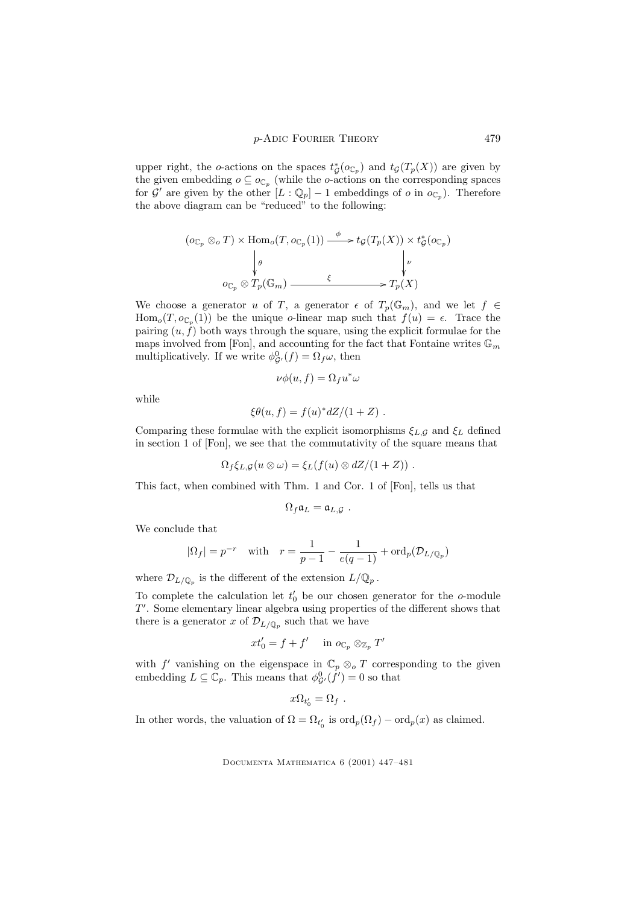upper right, the o-actions on the spaces  $t^*_{\mathcal{G}}(o_{\mathbb{C}_p})$  and  $t_{\mathcal{G}}(T_p(X))$  are given by the given embedding  $o \subseteq o_{\mathbb{C}_p}$  (while the *o*-actions on the corresponding spaces for  $\mathcal{G}'$  are given by the other  $[L:\mathbb{Q}_p]-1$  embeddings of  $o$  in  $o_{\mathbb{C}_p}$ ). Therefore the above diagram can be "reduced" to the following:

$$
(o_{\mathbb{C}_p} \otimes_o T) \times \text{Hom}_o(T, o_{\mathbb{C}_p}(1)) \xrightarrow{\phi} t_{\mathcal{G}}(T_p(X)) \times t_{\mathcal{G}}^*(o_{\mathbb{C}_p})
$$
\n
$$
\downarrow \phi
$$
\n
$$
o_{\mathbb{C}_p} \otimes T_p(\mathbb{G}_m) \xrightarrow{\xi} T_p(X)
$$

We choose a generator u of T, a generator  $\epsilon$  of  $T_p(\mathbb{G}_m)$ , and we let  $f \in$  $\text{Hom}_{o}(T, o_{\mathbb{C}_p}(1))$  be the unique *o*-linear map such that  $f(u) = \epsilon$ . Trace the pairing  $(u, f)$  both ways through the square, using the explicit formulae for the maps involved from [Fon], and accounting for the fact that Fontaine writes  $\mathbb{G}_m$ multiplicatively. If we write  $\phi_{\mathcal{G}'}^0(f) = \Omega_f \omega$ , then

$$
\nu\phi(u,f) = \Omega_f u^*\omega
$$

while

$$
\xi \theta(u, f) = f(u)^* dZ/(1+Z) .
$$

Comparing these formulae with the explicit isomorphisms  $\xi_{L,G}$  and  $\xi_L$  defined in section 1 of [Fon], we see that the commutativity of the square means that

$$
\Omega_f \xi_{L,\mathcal{G}}(u \otimes \omega) = \xi_L(f(u) \otimes dZ/(1+Z)) \ .
$$

This fact, when combined with Thm. 1 and Cor. 1 of [Fon], tells us that

$$
\Omega_f \mathfrak{a}_L = \mathfrak{a}_{L,\mathcal{G}}.
$$

We conclude that

$$
|\Omega_f| = p^{-r}
$$
 with  $r = \frac{1}{p-1} - \frac{1}{e(q-1)} + \text{ord}_p(\mathcal{D}_{L/\mathbb{Q}_p})$ 

where  $\mathcal{D}_{L/\mathbb{Q}_p}$  is the different of the extension  $L/\mathbb{Q}_p$ .

To complete the calculation let  $t'_0$  be our chosen generator for the  $o$ -module  $T'$ . Some elementary linear algebra using properties of the different shows that there is a generator x of  $\mathcal{D}_{L/\mathbb{Q}_p}$  such that we have

$$
xt_0'=f+f'\quad\hbox{ in }o_{{\mathbb C}_p}\otimes_{{\mathbb Z}_p}T'
$$

with f' vanishing on the eigenspace in  $\mathbb{C}_p \otimes_{o} T$  corresponding to the given embedding  $L \subseteq \mathbb{C}_p$ . This means that  $\phi_{\mathcal{G}'}^0(f') = 0$  so that

$$
x\Omega_{t'_0}=\Omega_f.
$$

In other words, the valuation of  $\Omega = \Omega_{t_0'}$  is  $\text{ord}_p(\Omega_f) - \text{ord}_p(x)$  as claimed.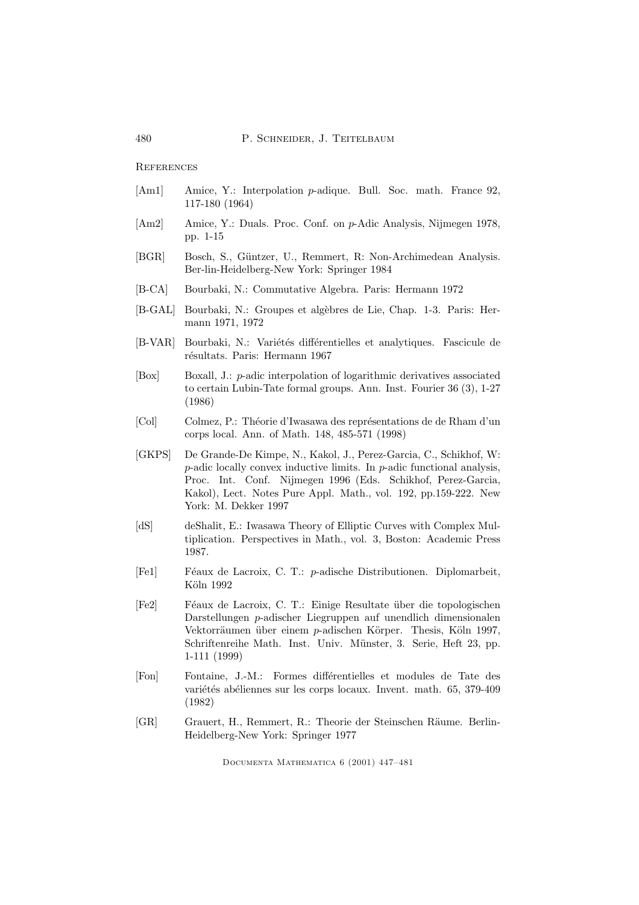**REFERENCES** 

- [Am1] Amice, Y.: Interpolation *p*-adique. Bull. Soc. math. France 92, 117-180 (1964)
- [Am2] Amice, Y.: Duals. Proc. Conf. on p-Adic Analysis, Nijmegen 1978, pp. 1-15
- [BGR] Bosch, S., Güntzer, U., Remmert, R: Non-Archimedean Analysis. Ber-lin-Heidelberg-New York: Springer 1984
- [B-CA] Bourbaki, N.: Commutative Algebra. Paris: Hermann 1972
- [B-GAL] Bourbaki, N.: Groupes et algèbres de Lie, Chap. 1-3. Paris: Hermann 1971, 1972
- [B-VAR] Bourbaki, N.: Variétés différentielles et analytiques. Fascicule de résultats. Paris: Hermann 1967
- [Box] Boxall, J.: p-adic interpolation of logarithmic derivatives associated to certain Lubin-Tate formal groups. Ann. Inst. Fourier 36 (3), 1-27 (1986)
- [Col] Colmez, P.: Théorie d'Iwasawa des représentations de de Rham d'un corps local. Ann. of Math. 148, 485-571 (1998)
- [GKPS] De Grande-De Kimpe, N., Kakol, J., Perez-Garcia, C., Schikhof, W:  $p$ -adic locally convex inductive limits. In  $p$ -adic functional analysis, Proc. Int. Conf. Nijmegen 1996 (Eds. Schikhof, Perez-Garcia, Kakol), Lect. Notes Pure Appl. Math., vol. 192, pp.159-222. New York: M. Dekker 1997
- [dS] deShalit, E.: Iwasawa Theory of Elliptic Curves with Complex Multiplication. Perspectives in Math., vol. 3, Boston: Academic Press 1987.
- [Fe1] F´eaux de Lacroix, C. T.: p-adische Distributionen. Diplomarbeit, Köln 1992
- [Fe2] Féaux de Lacroix, C. T.: Einige Resultate über die topologischen Darstellungen p-adischer Liegruppen auf unendlich dimensionalen Vektorräumen über einem  $p$ -adischen Körper. Thesis, Köln 1997, Schriftenreihe Math. Inst. Univ. Münster, 3. Serie, Heft 23, pp. 1-111 (1999)
- [Fon] Fontaine, J.-M.: Formes différentielles et modules de Tate des variétés abéliennes sur les corps locaux. Invent. math. 65, 379-409 (1982)
- [GR] Grauert, H., Remmert, R.: Theorie der Steinschen Räume. Berlin-Heidelberg-New York: Springer 1977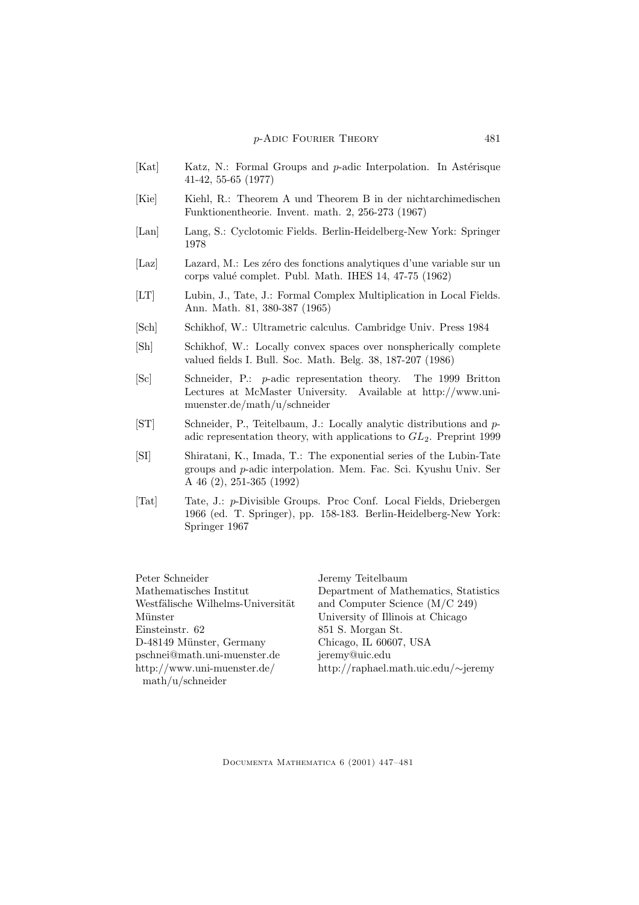- [Kat] Katz, N.: Formal Groups and p-adic Interpolation. In Astérisque 41-42, 55-65 (1977)
- [Kie] Kiehl, R.: Theorem A und Theorem B in der nichtarchimedischen Funktionentheorie. Invent. math. 2, 256-273 (1967)
- [Lan] Lang, S.: Cyclotomic Fields. Berlin-Heidelberg-New York: Springer 1978
- [Laz] Lazard, M.: Les zéro des fonctions analytiques d'une variable sur un corps valu´e complet. Publ. Math. IHES 14, 47-75 (1962)
- [LT] Lubin, J., Tate, J.: Formal Complex Multiplication in Local Fields. Ann. Math. 81, 380-387 (1965)
- [Sch] Schikhof, W.: Ultrametric calculus. Cambridge Univ. Press 1984
- [Sh] Schikhof, W.: Locally convex spaces over nonspherically complete valued fields I. Bull. Soc. Math. Belg. 38, 187-207 (1986)
- [Sc] Schneider, P.: p-adic representation theory. The 1999 Britton Lectures at McMaster University. Available at http://www.unimuenster.de/math/u/schneider
- [ST] Schneider, P., Teitelbaum, J.: Locally analytic distributions and padic representation theory, with applications to  $GL_2$ . Preprint 1999
- [SI] Shiratani, K., Imada, T.: The exponential series of the Lubin-Tate groups and p-adic interpolation. Mem. Fac. Sci. Kyushu Univ. Ser A 46 (2), 251-365 (1992)
- [Tat] Tate, J.: p-Divisible Groups. Proc Conf. Local Fields, Driebergen 1966 (ed. T. Springer), pp. 158-183. Berlin-Heidelberg-New York: Springer 1967

Peter Schneider Mathematisches Institut Westfälische Wilhelms-Universität Münster Einsteinstr. 62 D-48149 Münster, Germany pschnei@math.uni-muenster.de http://www.uni-muenster.de/ math/u/schneider

Jeremy Teitelbaum Department of Mathematics, Statistics and Computer Science (M/C 249) University of Illinois at Chicago 851 S. Morgan St. Chicago, IL 60607, USA jeremy@uic.edu http://raphael.math.uic.edu/∼jeremy